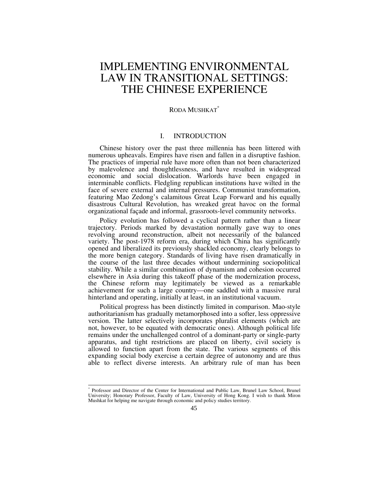# IMPLEMENTING ENVIRONMENTAL LAW IN TRANSITIONAL SETTINGS: THE CHINESE EXPERIENCE

## RODA MUSHKAT<sup>\*</sup>

## I. INTRODUCTION

Chinese history over the past three millennia has been littered with numerous upheavals. Empires have risen and fallen in a disruptive fashion. The practices of imperial rule have more often than not been characterized by malevolence and thoughtlessness, and have resulted in widespread economic and social dislocation. Warlords have been engaged in interminable conflicts. Fledgling republican institutions have wilted in the face of severe external and internal pressures. Communist transformation, featuring Mao Zedong's calamitous Great Leap Forward and his equally disastrous Cultural Revolution, has wreaked great havoc on the formal organizational façade and informal, grassroots-level community networks.

Policy evolution has followed a cyclical pattern rather than a linear trajectory. Periods marked by devastation normally gave way to ones revolving around reconstruction, albeit not necessarily of the balanced variety. The post-1978 reform era, during which China has significantly opened and liberalized its previously shackled economy, clearly belongs to the more benign category. Standards of living have risen dramatically in the course of the last three decades without undermining sociopolitical stability. While a similar combination of dynamism and cohesion occurred elsewhere in Asia during this takeoff phase of the modernization process, the Chinese reform may legitimately be viewed as a remarkable achievement for such a large country—one saddled with a massive rural hinterland and operating, initially at least, in an institutional vacuum.

Political progress has been distinctly limited in comparison. Mao-style authoritarianism has gradually metamorphosed into a softer, less oppressive version. The latter selectively incorporates pluralist elements (which are not, however, to be equated with democratic ones). Although political life remains under the unchallenged control of a dominant-party or single-party apparatus, and tight restrictions are placed on liberty, civil society is allowed to function apart from the state. The various segments of this expanding social body exercise a certain degree of autonomy and are thus able to reflect diverse interests. An arbitrary rule of man has been

 <sup>\*</sup> Professor and Director of the Center for International and Public Law, Brunel Law School, Brunel University; Honorary Professor, Faculty of Law, University of Hong Kong. I wish to thank Miron Mushkat for helping me navigate through economic and policy studies territory.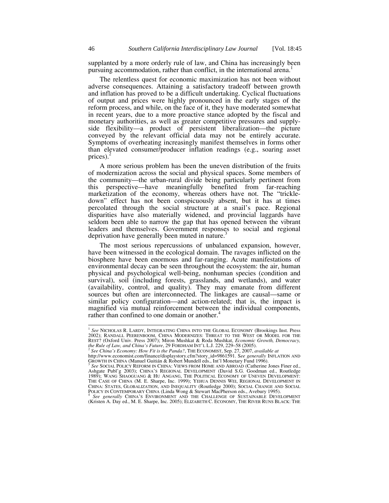supplanted by a more orderly rule of law, and China has increasingly been pursuing accommodation, rather than conflict, in the international arena.<sup>1</sup>

The relentless quest for economic maximization has not been without adverse consequences. Attaining a satisfactory tradeoff between growth and inflation has proved to be a difficult undertaking. Cyclical fluctuations of output and prices were highly pronounced in the early stages of the reform process, and while, on the face of it, they have moderated somewhat in recent years, due to a more proactive stance adopted by the fiscal and monetary authorities, as well as greater competitive pressures and supplyside flexibility—a product of persistent liberalization—the picture conveyed by the relevant official data may not be entirely accurate. Symptoms of overheating increasingly manifest themselves in forms other than elevated consumer/producer inflation readings (e.g., soaring asset prices). $<sup>2</sup>$ </sup>

A more serious problem has been the uneven distribution of the fruits of modernization across the social and physical spaces. Some members of the community—the urban-rural divide being particularly pertinent from this perspective—have meaningfully benefited from far-reaching marketization of the economy, whereas others have not. The "trickledown" effect has not been conspicuously absent, but it has at times percolated through the social structure at a snail's pace. Regional disparities have also materially widened, and provincial laggards have seldom been able to narrow the gap that has opened between the vibrant leaders and themselves. Government responses to social and regional deprivation have generally been muted in nature.<sup>3</sup>

The most serious repercussions of unbalanced expansion, however, have been witnessed in the ecological domain. The ravages inflicted on the biosphere have been enormous and far-ranging. Acute manifestations of environmental decay can be seen throughout the ecosystem: the air, human physical and psychological well-being, nonhuman species (condition and survival), soil (including forests, grasslands, and wetlands), and water (availability, control, and quality). They may emanate from different sources but often are interconnected. The linkages are causal—same or similar policy configuration—and action-related; that is, the impact is magnified via mutual reinforcement between the individual components, rather than confined to one domain or another.<sup>4</sup>

 *See generally* CHINA'S ENVIRONMENT AND THE CHALLENGE OF SUSTAINABLE DEVELOPMENT (Kristen A. Day ed., M. E. Sharpe, Inc. 2005); ELIZABETH C. ECONOMY, THE RIVER RUNS BLACK: THE

<sup>&</sup>lt;sup>1</sup> See NICHOLAS R. LARDY, INTEGRATING CHINA INTO THE GLOBAL ECONOMY (Brookings Inst. Press 2002); RANDALL PEERENBOOM, CHINA MODERNIZES: THREAT TO THE WEST OR MODEL FOR THE REST? (Oxford Univ. Press 2007); Miron Mushkat & Roda Mushkat, *Economic Growth, Democracy, the Rule of Law, and China's Future*, 29 FORDHAM INT'L L.J. 229, 229–58 (2005).

*See China's Economy: How Fit is the Panda?*, THE ECONOMIST, Sep. 27, 2007, *available at*

http://www.economist.com/finance/displaystory.cfm?story\_id=9861591. S*ee generally* INFLATION AND<br>GROWTH IN CHINA (Manuel Guitián & Robert Mundell eds., Int'l Monetary Fund 1996).<br><sup>3</sup> *See* SOCIAL POLICY REFORM IN CHINA: V

Ashgate Publ'g 2003); CHINA'S REGIONAL DEVELOPMENT (David S.G. Goodman ed., Routledge 1989); WANG SHAOGUANG & HU ANGANG, THE POLITICAL ECONOMY OF UNEVEN DEVELOPMENT: THE CASE OF CHINA (M. E. Sharpe, Inc. 1999); YEHUA DENNIS WEI, REGIONAL DEVELOPMENT IN CHINA: STATES, GLOBALIZATION, AND INEQUALITY (Routledge 2000); SOCIAL CHANGE AND SOCIAL<br>POLICY IN CONTEMPORARY CHINA (Linda Wong & Stewart MacPherson eds., Avebury 1995).<br><sup>4</sup> See generally Cunity: Environment, And Tut, Cut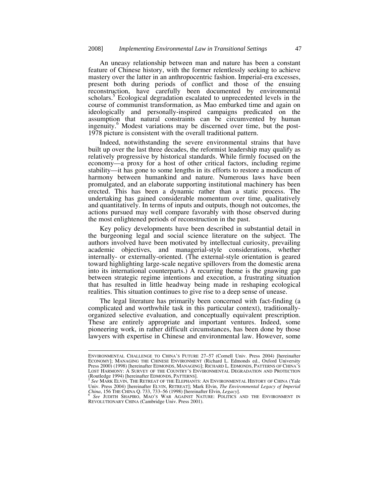An uneasy relationship between man and nature has been a constant feature of Chinese history, with the former relentlessly seeking to achieve mastery over the latter in an anthropocentric fashion. Imperial-era excesses, present both during periods of conflict and those of the ensuing reconstruction, have carefully been documented by environmental scholars.<sup>5</sup> Ecological degradation escalated to unprecedented levels in the course of communist transformation, as Mao embarked time and again on ideologically and personally-inspired campaigns predicated on the assumption that natural constraints can be circumvented by human ingenuity.<sup>6</sup> Modest variations may be discerned over time, but the post-1978 picture is consistent with the overall traditional pattern.

Indeed, notwithstanding the severe environmental strains that have built up over the last three decades, the reformist leadership may qualify as relatively progressive by historical standards. While firmly focused on the economy—a proxy for a host of other critical factors, including regime stability—it has gone to some lengths in its efforts to restore a modicum of harmony between humankind and nature. Numerous laws have been promulgated, and an elaborate supporting institutional machinery has been erected. This has been a dynamic rather than a static process. The undertaking has gained considerable momentum over time, qualitatively and quantitatively. In terms of inputs and outputs, though not outcomes, the actions pursued may well compare favorably with those observed during the most enlightened periods of reconstruction in the past.

Key policy developments have been described in substantial detail in the burgeoning legal and social science literature on the subject. The authors involved have been motivated by intellectual curiosity, prevailing academic objectives, and managerial-style considerations, whether internally- or externally-oriented. (The external-style orientation is geared toward highlighting large-scale negative spillovers from the domestic arena into its international counterparts.) A recurring theme is the gnawing gap between strategic regime intentions and execution, a frustrating situation that has resulted in little headway being made in reshaping ecological realities. This situation continues to give rise to a deep sense of unease.

The legal literature has primarily been concerned with fact-finding (a complicated and worthwhile task in this particular context), traditionallyorganized selective evaluation, and conceptually equivalent prescription. These are entirely appropriate and important ventures. Indeed, some pioneering work, in rather difficult circumstances, has been done by those lawyers with expertise in Chinese and environmental law. However, some

ENVIRONMENTAL CHALLENGE TO CHINA'S FUTURE 27–57 (Cornell Univ. Press 2004) [hereinafter ECONOMY]; MANAGING THE CHINESE ENVIRONMENT (Richard L. Edmonds ed., Oxford University Press 2000) (1998) [hereinafter EDMONDS, MANAGING]; RICHARD L. EDMONDS, PATTERNS OF CHINA'S LOST HARMONY: A SURVEY OF THE COUNTRY'S ENVIRONMENTAL DEGRADATION AND PROTECTION<br>(Routledge 1994) [hereinafter EDMONDS, PATTERNS].

**See MARK ELVIN, THE RETREAT OF THE ELEPHANTS: AN ENVIRONMENTAL HISTORY OF CHINA (Yale** Univ. Press 2004) [hereinafter ELVIN, RETREAT]; Mark Elvin, *The Environmental Legacy of Imperial China*, 156 THE CHINA Q. 733, 733–56 (1998) [hereinafter Elvin, *Legacy*].<br><sup>6</sup> *See* JUDITH SHAPIRO, MAO'S WAR AGAINST NATUR

REVOLUTIONARY CHINA (Cambridge Univ. Press 2001).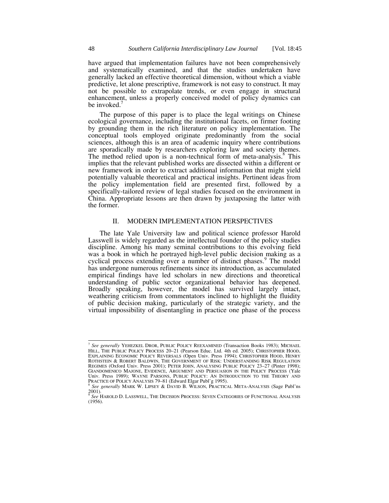have argued that implementation failures have not been comprehensively and systematically examined, and that the studies undertaken have generally lacked an effective theoretical dimension, without which a viable predictive, let alone prescriptive, framework is not easy to construct. It may not be possible to extrapolate trends, or even engage in structural enhancement, unless a properly conceived model of policy dynamics can be invoked. $<sup>7</sup>$ </sup>

The purpose of this paper is to place the legal writings on Chinese ecological governance, including the institutional facets, on firmer footing by grounding them in the rich literature on policy implementation. The conceptual tools employed originate predominantly from the social sciences, although this is an area of academic inquiry where contributions are sporadically made by researchers exploring law and society themes. The method relied upon is a non-technical form of meta-analysis. $8$  This implies that the relevant published works are dissected within a different or new framework in order to extract additional information that might yield potentially valuable theoretical and practical insights. Pertinent ideas from the policy implementation field are presented first, followed by a specifically-tailored review of legal studies focused on the environment in China. Appropriate lessons are then drawn by juxtaposing the latter with the former.

#### II. MODERN IMPLEMENTATION PERSPECTIVES

The late Yale University law and political science professor Harold Lasswell is widely regarded as the intellectual founder of the policy studies discipline. Among his many seminal contributions to this evolving field was a book in which he portrayed high-level public decision making as a cyclical process extending over a number of distinct phases.<sup>9</sup> The model has undergone numerous refinements since its introduction, as accumulated empirical findings have led scholars in new directions and theoretical understanding of public sector organizational behavior has deepened. Broadly speaking, however, the model has survived largely intact, weathering criticism from commentators inclined to highlight the fluidity of public decision making, particularly of the strategic variety, and the virtual impossibility of disentangling in practice one phase of the process

 <sup>7</sup> *See generally* YEHEZKEL DROR, PUBLIC POLICY REEXAMINED (Transaction Books 1983); MICHAEL HILL, THE PUBLIC POLICY PROCESS 20–21 (Pearson Educ. Ltd. 4th ed. 2005); CHRISTOPHER HOOD, EXPLAINING ECONOMIC POLICY REVERSALS (Open Univ. Press 1994); CHRISTOPHER HOOD, HENRY<br>ROTHSTEIN & ROBERT BALDWIN, THE GOVERNMENT OF RISK: UNDERSTANDING RISK REGULATION REGIMES (Oxford Univ. Press 2001); PETER JOHN, ANALYSING PUBLIC POLICY 23–27 (Pinter 1998); GIANDOMENICO MAJONE, EVIDENCE, ARGUMENT AND PERSUASION IN THE POLICY PROCESS (Yale Univ. Press 1989); WAYNE PARSONS, PUBLIC POLICY: AN INTRODUCTION TO THE THEORY AND

PRACTICE OF POLICY ANALYSIS 79–81 (Edward Elgar Publ'g 1995).<br><sup>8</sup> *See generally* MARK W. LIPSEY & DAVID B. WILSON, PRACTICAL META-ANALYSIS (Sage Publ'ns <sup>8</sup> See generally MARK W. LIPSEY & DAVID B. WILSON, PRACTICAL META-ANALYSIS (Sage Publ'ns<br>2001).<br>2001).

<sup>9</sup> *See* HAROLD D. LASSWELL, THE DECISION PROCESS: SEVEN CATEGORIES OF FUNCTIONAL ANALYSIS (1956).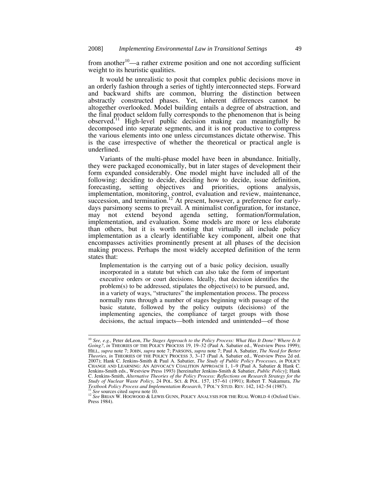from another $10$ —a rather extreme position and one not according sufficient weight to its heuristic qualities.

It would be unrealistic to posit that complex public decisions move in an orderly fashion through a series of tightly interconnected steps. Forward and backward shifts are common, blurring the distinction between abstractly constructed phases. Yet, inherent differences cannot be altogether overlooked. Model building entails a degree of abstraction, and the final product seldom fully corresponds to the phenomenon that is being observed.11 High-level public decision making can meaningfully be decomposed into separate segments, and it is not productive to compress the various elements into one unless circumstances dictate otherwise. This is the case irrespective of whether the theoretical or practical angle is underlined.

Variants of the multi-phase model have been in abundance. Initially, they were packaged economically, but in later stages of development their form expanded considerably. One model might have included all of the following: deciding to decide, deciding how to decide, issue definition, forecasting, setting objectives and priorities, options analysis, implementation, monitoring, control, evaluation and review, maintenance, succession, and termination.<sup>12</sup> At present, however, a preference for earlydays parsimony seems to prevail. A minimalist configuration, for instance, may not extend beyond agenda setting, formation/formulation, implementation, and evaluation. Some models are more or less elaborate than others, but it is worth noting that virtually all include policy implementation as a clearly identifiable key component, albeit one that encompasses activities prominently present at all phases of the decision making process. Perhaps the most widely accepted definition of the term states that:

Implementation is the carrying out of a basic policy decision, usually incorporated in a statute but which can also take the form of important executive orders or court decisions. Ideally, that decision identifies the problem(s) to be addressed, stipulates the objective(s) to be pursued, and, in a variety of ways, "structures" the implementation process. The process normally runs through a number of stages beginning with passage of the basic statute, followed by the policy outputs (decisions) of the implementing agencies, the compliance of target groups with those decisions, the actual impacts—both intended and unintended—of those

<sup>&</sup>lt;sup>10</sup> See, e.g., Peter deLeon, *The Stages Approach to the Policy Process: What Has It Done? Where Is It*<br>Going?, in THEORIES OF THE POLICY PROCESS 19, 19–32 (Paul A. Sabatier ed., Westview Press 1999); HILL, *supra* note 7; JOHN, *supra* note 7; PARSONS, *supra* note 7; Paul A. Sabatier, *The Need for Better Theories*, *in* THEORIES OF THE POLICY PROCESS 3, 3–17 (Paul A. Sabatier ed., Westview Press 2d ed. 2007); Hank C. CHANGE AND LEARNING: AN ADVOCACY COALITION APPROACH 1, 1–9 (Paul A. Sabatier & Hank C. Jenkins-Smith eds., Westview Press 1993) [hereinafter Jenkins-Smith & Sabatier, *Public Policy*]; Hank C. Jenkins-Smith, *Alternative Theories of the Policy Process: Reflections on Research Strategy for the Study of Nuclear Waste Policy*, 24 POL. SCI. & POL. 157, 157–61 (1991); Robert T. Nakamura, *The* 

<sup>&</sup>lt;sup>11</sup> See sources cited *supra* note 10.<br><sup>12</sup> See Brian W. HOGWOOD & LEWIS GUNN, POLICY ANALYSIS FOR THE REAL WORLD 4 (Oxford Univ. Press 1984).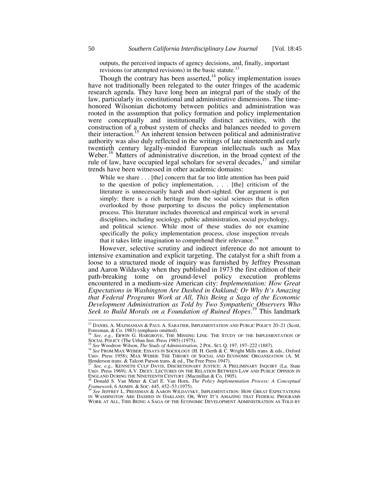outputs, the perceived impacts of agency decisions, and, finally, important revisions (or attempted revisions) in the basic statute.13

Though the contrary has been asserted, $14$  policy implementation issues have not traditionally been relegated to the outer fringes of the academic research agenda. They have long been an integral part of the study of the law, particularly its constitutional and administrative dimensions. The timehonored Wilsonian dichotomy between politics and administration was rooted in the assumption that policy formation and policy implementation were conceptually and institutionally distinct activities, with the construction of a robust system of checks and balances needed to govern their interaction.<sup>15</sup> An inherent tension between political and administrative authority was also duly reflected in the writings of late nineteenth and early twentieth century legally-minded European intellectuals such as Max Weber.<sup>16</sup> Matters of administrative discretion, in the broad context of the rule of law, have occupied legal scholars for several decades, $17$  and similar trends have been witnessed in other academic domains:

While we share . . . [the] concern that far too little attention has been paid to the question of policy implementation, . . . [the] criticism of the literature is unnecessarily harsh and short-sighted. Our argument is put simply: there is a rich heritage from the social sciences that is often overlooked by those purporting to discuss the policy implementation process. This literature includes theoretical and empirical work in several disciplines, including sociology, public administration, social psychology, and political science. While most of these studies do not examine specifically the policy implementation process, close inspection reveals that it takes little imagination to comprehend their relevance.<sup>18</sup>

However, selective scrutiny and indirect inference do not amount to intensive examination and explicit targeting. The catalyst for a shift from a loose to a structured mode of inquiry was furnished by Jeffrey Pressman and Aaron Wildavsky when they published in 1973 the first edition of their path-breaking tome on ground-level policy execution problems encountered in a medium-size American city: *Implementation: How Great Expectations in Washington Are Dashed in Oakland; Or Why It's Amazing that Federal Programs Work at All, This Being a Saga of the Economic Development Administration as Told by Two Sympathetic Observers Who Seek to Build Morals on a Foundation of Ruined Hopes*. 19 This landmark

 <sup>13</sup> DANIEL A. MAZMANIAN & PAUL A. SABATIER, IMPLEMENTATION AND PUBLIC POLICY 20–21 (Scott, Foresman, & Co. 1983) (emphasis omitted).

<sup>&</sup>lt;sup>14</sup> See, e.g., ERWIN G. HARGROVE, THE MISSING LINK: THE STUDY OF THE IMPLEMENTATION OF SOCIAL POLICY (The Urban Inst. Press 1985) (1975).

<sup>15</sup> See Woodrow Wilson, *The Study of Administration*, 2 POL. SCI. Q. 197, 197–222 (1887).<br><sup>16</sup> See FROM MAX WEBER: ESSAYS IN SOCIOLOGY (H. H. Gerth & C. Wright Mills trans. & eds., Oxford Univ. Press 1958); MAX WEBER: THE THEORY OF SOCIAL AND ECONOMIC ORGANIZATION (A. M.<br>Henderson trans. & Talcott Parson trans. & ed., The Free Press 1947).

<sup>17</sup> *See, e.g.,* KENNETH CULP DAVIS, DISCRETIONARY JUSTICE: A PRELIMINARY INQUIRY (La. State Univ. Press 1969); A.V. DICEY, LECTURES ON THE RELATION BETWEEN LAW AND PUBLIC OPINION IN ENGLAND DURING THE NINETEENTH CENTURY (Macmillan & Co. 1905).<br><sup>18</sup> Donald S. Van Meter & Carl E. Van Horn, *The Policy Implementation Process: A Conceptual* 

*Framework*, 6 ADMIN. & Soc. 445, 452–53 (1975).<br>
<sup>F</sup>ramework, 6 ADMIN. & Soc. 445, 452–53 (1975).<br>
<sup>19</sup> See JEFFREY L. PRESSMAN & AARON WILDAVSKY, IMPLEMENTATION: HOW GREAT EXPECTATIONS

IN WASHINGTON ARE DASHED IN OAKLAND; OR, WHY IT'S AMAZING THAT FEDERAL PROGRAMS WORK AT ALL, THIS BEING A SAGA OF THE ECONOMIC DEVELOPMENT ADMINISTRATION AS TOLD BY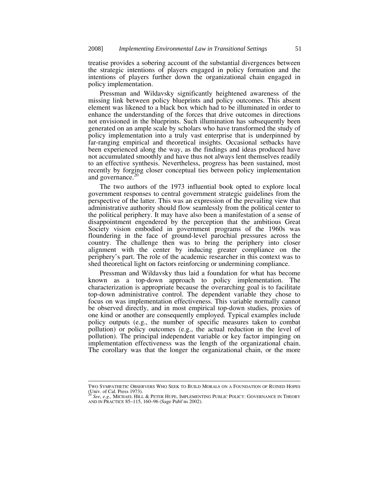treatise provides a sobering account of the substantial divergences between the strategic intentions of players engaged in policy formation and the intentions of players further down the organizational chain engaged in policy implementation.

Pressman and Wildavsky significantly heightened awareness of the missing link between policy blueprints and policy outcomes. This absent element was likened to a black box which had to be illuminated in order to enhance the understanding of the forces that drive outcomes in directions not envisioned in the blueprints. Such illumination has subsequently been generated on an ample scale by scholars who have transformed the study of policy implementation into a truly vast enterprise that is underpinned by far-ranging empirical and theoretical insights. Occasional setbacks have been experienced along the way, as the findings and ideas produced have not accumulated smoothly and have thus not always lent themselves readily to an effective synthesis. Nevertheless, progress has been sustained, most recently by forging closer conceptual ties between policy implementation and governance.<sup>20</sup>

The two authors of the 1973 influential book opted to explore local government responses to central government strategic guidelines from the perspective of the latter. This was an expression of the prevailing view that administrative authority should flow seamlessly from the political center to the political periphery. It may have also been a manifestation of a sense of disappointment engendered by the perception that the ambitious Great Society vision embodied in government programs of the 1960s was floundering in the face of ground-level parochial pressures across the country. The challenge then was to bring the periphery into closer alignment with the center by inducing greater compliance on the periphery's part. The role of the academic researcher in this context was to shed theoretical light on factors reinforcing or undermining compliance.

Pressman and Wildavsky thus laid a foundation for what has become known as a top-down approach to policy implementation. The characterization is appropriate because the overarching goal is to facilitate top-down administrative control. The dependent variable they chose to focus on was implementation effectiveness. This variable normally cannot be observed directly, and in most empirical top-down studies, proxies of one kind or another are consequently employed. Typical examples include policy outputs (e.g., the number of specific measures taken to combat pollution) or policy outcomes (e.g., the actual reduction in the level of pollution). The principal independent variable or key factor impinging on implementation effectiveness was the length of the organizational chain. The corollary was that the longer the organizational chain, or the more

TWO SYMPATHETIC OBSERVERS WHO SEEK TO BUILD MORALS ON A FOUNDATION OF RUINED HOPES (Univ. of Cal. Press 1973).

<sup>20</sup> *See*, *e.g.,* MICHAEL HILL & PETER HUPE, IMPLEMENTING PUBLIC POLICY: GOVERNANCE IN THEORY AND IN PRACTICE 85–115, 160–96 (Sage Publ'ns 2002).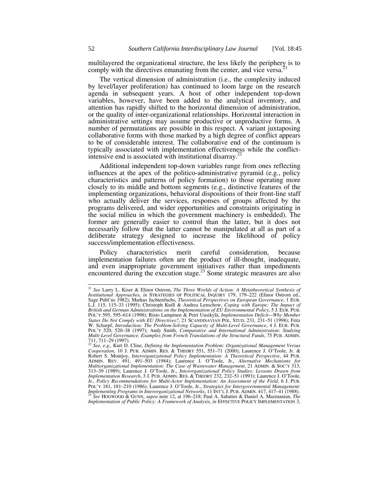multilayered the organizational structure, the less likely the periphery is to comply with the directives emanating from the center, and vice versa.<sup>2</sup>

The vertical dimension of administration (i.e., the complexity induced by level/layer proliferation) has continued to loom large on the research agenda in subsequent years. A host of other independent top-down variables, however, have been added to the analytical inventory, and attention has rapidly shifted to the horizontal dimension of administration, or the quality of inter-organizational relationships. Horizontal interaction in administrative settings may assume productive or unproductive forms. A number of permutations are possible in this respect. A variant juxtaposing collaborative forms with those marked by a high degree of conflict appears to be of considerable interest. The collaborative end of the continuum is typically associated with implementation effectiveness while the conflictintensive end is associated with institutional disarray.<sup>2</sup>

Additional independent top-down variables range from ones reflecting influences at the apex of the politico-administrative pyramid (e.g., policy characteristics and patterns of policy formation) to those operating more closely to its middle and bottom segments (e.g., distinctive features of the implementing organizations, behavioral dispositions of their front-line staff who actually deliver the services, responses of groups affected by the programs delivered, and wider opportunities and constraints originating in the social milieu in which the government machinery is embedded). The former are generally easier to control than the latter, but it does not necessarily follow that the latter cannot be manipulated at all as part of a deliberate strategy designed to increase the likelihood of policy success/implementation effectiveness.

Policy characteristics merit careful consideration, because implementation failures often are the product of ill-thought, inadequate, and even inappropriate government initiatives rather than impediments encountered during the execution stage.<sup>23</sup> Some strategic measures are also

 <sup>21</sup> *See* Larry L. Kiser & Elinor Ostrom, *The Three Worlds of Action: A Metatheoretical Synthesis of Institutional Approaches*, *in* STRATEGIES OF POLITICAL INQUIRY 179, 179–222 (Elinor Ostrom ed., Sage Publ'ns 1982); Markus Jachtenfuchs, *Theoretical Perspectives on European Governance*, 1 EUR. L.J. 115, 115–33 (1995); Christoph Knill & Andrea Lenschow, *Coping with Europe: The Impact of British and German Administrations on the Implementation of EU Environmental Policy*, 5 J. EUR. PUB. POL'Y 595, 595–614 (1998); Risto Lampinen & Petri Uusikylä, *Implementation Deficit—Why Member States Do Not Comply with EU Directives?*, 21 SCANDINAVIAN POL. STUD. 231*,* 231–51 (1998); Fritz W. Scharpf, *Introduction: The Problem-Solving Capacity of Multi-Level Governance*, 4 J. EUR. PUB. POL'Y 520, 520–38 (1997); Andy Smith, *Comparative and International Administration: Studying Multi-Level Governance. Examples from French Translations of the Structural Funds*, 75 PUB. ADMIN. 711, 711–29 (1997). 22 *See, e.g.,* Kurt D. Cline, *Defining the Implementation Problem: Organizational Management Versus* 

*Cooperation*, 10 J. PUB. ADMIN. RES. & THEORY 551, 551–71 (2000); Laurence J. O'Toole, Jr. & Robert S. Montjoy, *Interorganizational Policy Implementation: A Theoretical Perspective*, 44 PUB. ADMIN. REV. 491, 491–503 (1984); Laurence J. O'Toole, Jr., *Alternative Mechanisms for Multiorganizational Implementation: The Case of Wastewater Management*, 21 ADMIN. & SOC'Y 313, 313–39 (1989); Laurence J. O'Toole, Jr., *Interorganizational Policy Studies: Lessons Drawn from Implementation Research*, 3 J. PUB. ADMIN. RES. & THEORY 232, 232–51 (1993); Laurence J. O'Toole, Jr., *Policy Recommendations for Multi-Actor Implementation: An Assessment of the Field*, 6 J. PUB. POL'Y 181, 181–210 (1986); Laurence J. O'Toole, Jr., *Strategies for Intergovernmental Management: Implementing Programs in Interorganizational Networks*, 11 INT'L J. PUB. ADMIN. 417, 417–41 (1988). 23 *See* HOGWOOD & GUNN, *supra* note 12, at 196–218; Paul A. Sabatier & Daniel A. Mazmanian, *The Implementation of Public Policy: A Framework of Analysis*, *in* EFFECTIVE POLICY IMPLEMENTATION 3,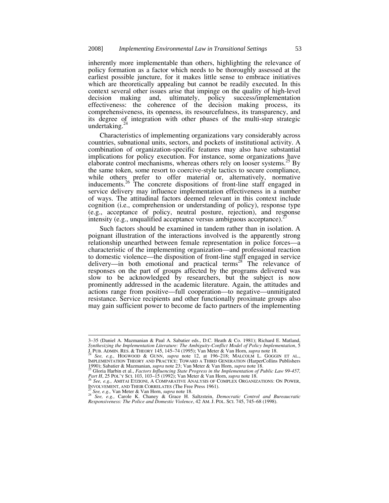inherently more implementable than others, highlighting the relevance of policy formation as a factor which needs to be thoroughly assessed at the earliest possible juncture, for it makes little sense to embrace initiatives which are theoretically appealing but cannot be readily executed. In this context several other issues arise that impinge on the quality of high-level decision making and, ultimately, policy success/implementation effectiveness: the coherence of the decision making process, its comprehensiveness, its openness, its resourcefulness, its transparency, and its degree of integration with other phases of the multi-step strategic undertaking.<sup>2</sup>

Characteristics of implementing organizations vary considerably across countries, subnational units, sectors, and pockets of institutional activity. A combination of organization-specific features may also have substantial implications for policy execution. For instance, some organizations have elaborate control mechanisms, whereas others rely on looser systems.<sup>25</sup> By the same token, some resort to coercive-style tactics to secure compliance, while others prefer to offer material or, alternatively, normative inducements.<sup>26</sup> The concrete dispositions of front-line staff engaged in service delivery may influence implementation effectiveness in a number of ways. The attitudinal factors deemed relevant in this context include cognition (i.e., comprehension or understanding of policy), response type (e.g., acceptance of policy, neutral posture, rejection), and response intensity (e.g., unqualified acceptance versus ambiguous acceptance).

Such factors should be examined in tandem rather than in isolation. A poignant illustration of the interactions involved is the apparently strong relationship unearthed between female representation in police forces—a characteristic of the implementing organization—and professional reaction to domestic violence—the disposition of front-line staff engaged in service delivery—in both emotional and practical terms<sup>28</sup> The relevance of responses on the part of groups affected by the programs delivered was slow to be acknowledged by researchers, but the subject is now prominently addressed in the academic literature. Again, the attitudes and actions range from positive—full cooperation—to negative—unmitigated resistance. Service recipients and other functionally proximate groups also may gain sufficient power to become de facto partners of the implementing

 <sup>3–35 (</sup>Daniel A. Mazmanian & Paul A. Sabatier eds., D.C. Heath & Co. 1981); Richard E. Matland, *Synthesizing the Implementation Literature: The Ambiguity-Conflict Model of Policy Implementation*, 5<br>*J. P. U.B. ADMIN. RES. & THEORY 145-74 (1995); Van Meter & Van Horn, supra* note 18.<br><sup>24</sup> See, e.g. MOGNIOND, 8. CINN.

<sup>34</sup> See, e.g., HOGWOOD & GUNN, supra note 12, at 196–218; MALCOLM L. GOGGIN ET AL.,<br>IMPLEMENTATION THEORY AND PRACTICE: TOWARD A THIRD GENERATION (HarperCollins Publishers 1990); Sabatier & Mazmanian, *supra* note 23; Van Meter & Van Horn, *supra* note 18. 25 Gloria Harbin et al., *Factors Influencing State Progress in the Implementation of Public Law 99-457,* 

*Part H*, 25 POL'Y SCI. 103, 103–15 (1992); Van Meter & Van Horn, *supra* note 18. 26 *See, e.g.,* AMITAI ETZIONI, <sup>A</sup> COMPARATIVE ANALYSIS OF COMPLEX ORGANIZATIONS: ON POWER,

INVOLVEMENT, AND THEIR CORRELATES (The Free Press 1961).<br>
<sup>27</sup> See, e.g., Van Meter & Van Horn, *supra* note 18.<br>
<sup>28</sup> See, e.g., Carole K. Chaney & Grace H. Saltzstein, *Democratic Control and Bureaucratic* 

*Responsiveness: The Police and Domestic Violence*, 42 AM. J. POL. SCI. 745, 745–68 (1998).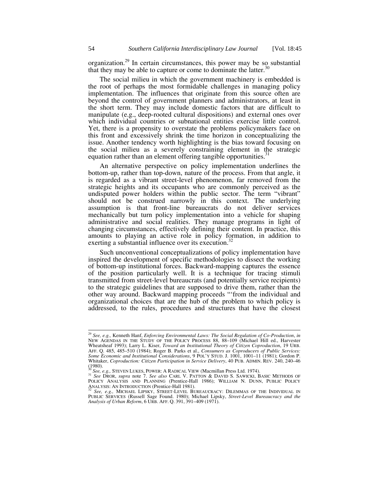organization.29 In certain circumstances, this power may be so substantial that they may be able to capture or come to dominate the latter. $30$ 

The social milieu in which the government machinery is embedded is the root of perhaps the most formidable challenges in managing policy implementation. The influences that originate from this source often are beyond the control of government planners and administrators, at least in the short term. They may include domestic factors that are difficult to manipulate (e.g., deep-rooted cultural dispositions) and external ones over which individual countries or subnational entities exercise little control. Yet, there is a propensity to overstate the problems policymakers face on this front and excessively shrink the time horizon in conceptualizing the issue. Another tendency worth highlighting is the bias toward focusing on the social milieu as a severely constraining element in the strategic equation rather than an element offering tangible opportunities.<sup>31</sup>

An alternative perspective on policy implementation underlines the bottom-up, rather than top-down, nature of the process. From that angle, it is regarded as a vibrant street-level phenomenon, far removed from the strategic heights and its occupants who are commonly perceived as the undisputed power holders within the public sector. The term "vibrant" should not be construed narrowly in this context. The underlying assumption is that front-line bureaucrats do not deliver services mechanically but turn policy implementation into a vehicle for shaping administrative and social realities. They manage programs in light of changing circumstances, effectively defining their content. In practice, this amounts to playing an active role in policy formation, in addition to exerting a substantial influence over its execution.<sup>32</sup>

Such unconventional conceptualizations of policy implementation have inspired the development of specific methodologies to dissect the working of bottom-up institutional forces. Backward-mapping captures the essence of the position particularly well. It is a technique for tracing stimuli transmitted from street-level bureaucrats (and potentially service recipients) to the strategic guidelines that are supposed to drive them, rather than the other way around. Backward mapping proceeds "'from the individual and organizational choices that are the hub of the problem to which policy is addressed, to the rules, procedures and structures that have the closest

 <sup>29</sup> *See, e.g.,* Kenneth Hanf, *Enforcing Environmental Laws: The Social Regulation of Co-Production*, *in* NEW AGENDAS IN THE STUDY OF THE POLICY PROCESS 88, 88–109 (Michael Hill ed., Harvester Wheatsheaf 1993); Larry L. Kiser, *Toward an Institutional Theory of Citizen Coproduction*, 19 URB. AFF. Q. 485, 485–510 (1984); Roger B. Parks et al., *Consumers as Coproducers of Public Services: Some Economic and Institutional Considerations*, 9 POL'Y STUD. J. 1001, 1001–11 (1981); Gordon P. Whitaker, *Coproduction: Citizen Participation in Service Delivery*, 40 PUB. ADMIN. REV. 240, 240–46  $(1980)$ .

<sup>30</sup> *See, e.g.,* STEVEN LUKES, POWER: <sup>A</sup> RADICAL VIEW (Macmillan Press Ltd. 1974). 31 *See* DROR, *supra* note 7. *See also* CARL V. PATTON & DAVID S. SAWICKI, BASIC METHODS OF POLICY ANALYSIS AND PLANNING (Prentice-Hall 1986); WILLIAM N. DUNN, PUBLIC POLICY

ANALYSIS: AN INTRODUCTION (Prentice-Hall 1981). <sup>32</sup> See, e.g., MICHAEL LIPSKY, STREET-LEVEL BUREAUCRACY: DILEMMAS OF THE INDIVIDUAL IN PUBLIC SERVICES (Russell Sage Found. 1980); Michael Lipsky, *Street-Level Bureaucracy and the Analysis of Urban Reform*, 6 URB. AFF. Q. 391, 391–409 (1971).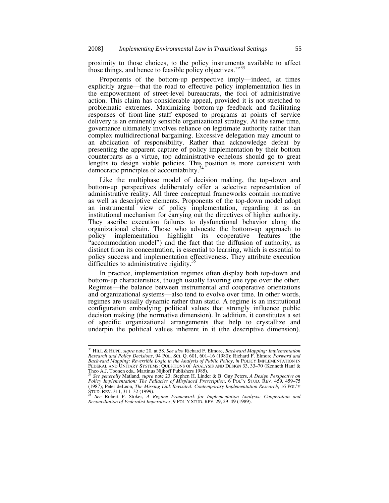proximity to those choices, to the policy instruments available to affect those things, and hence to feasible policy objectives."<sup>33</sup>

Proponents of the bottom-up perspective imply—indeed, at times explicitly argue—that the road to effective policy implementation lies in the empowerment of street-level bureaucrats, the foci of administrative action. This claim has considerable appeal, provided it is not stretched to problematic extremes. Maximizing bottom-up feedback and facilitating responses of front-line staff exposed to programs at points of service delivery is an eminently sensible organizational strategy. At the same time, governance ultimately involves reliance on legitimate authority rather than complex multidirectional bargaining. Excessive delegation may amount to an abdication of responsibility. Rather than acknowledge defeat by presenting the apparent capture of policy implementation by their bottom counterparts as a virtue, top administrative echelons should go to great lengths to design viable policies. This position is more consistent with democratic principles of accountability.<sup>3</sup>

Like the multiphase model of decision making, the top-down and bottom-up perspectives deliberately offer a selective representation of administrative reality. All three conceptual frameworks contain normative as well as descriptive elements. Proponents of the top-down model adopt an instrumental view of policy implementation, regarding it as an institutional mechanism for carrying out the directives of higher authority. They ascribe execution failures to dysfunctional behavior along the organizational chain. Those who advocate the bottom-up approach to policy implementation highlight its cooperative features (the "accommodation model") and the fact that the diffusion of authority, as distinct from its concentration, is essential to learning, which is essential to policy success and implementation effectiveness. They attribute execution difficulties to administrative rigidity.<sup>35</sup>

In practice, implementation regimes often display both top-down and bottom-up characteristics, though usually favoring one type over the other. Regimes—the balance between instrumental and cooperative orientations and organizational systems—also tend to evolve over time. In other words, regimes are usually dynamic rather than static. A regime is an institutional configuration embodying political values that strongly influence public decision making (the normative dimension). In addition, it constitutes a set of specific organizational arrangements that help to crystallize and underpin the political values inherent in it (the descriptive dimension).

 <sup>33</sup> HILL & HUPE, *supra* note 20, at 58. *See also* Richard F. Elmore, *Backward Mapping: Implementation Research and Policy Decisions*, 94 POL. SCI. Q. 601, 601–16 (1980); Richard F. Elmore *Forward and Backward Mapping: Reversible Logic in the Analysis of Public Policy*, *in* POLICY IMPLEMENTATION IN FEDERAL AND UNITARY SYSTEMS: QUESTIONS OF ANALYSIS AND DESIGN 33, 33-70 (Kenneth Hanf & Theo A.J. Toonen eds., Martinus Nijhoff Publishers 1985).

<sup>34</sup> *See generally* Matland, *supra* note 23; Stephen H. Linder & B. Guy Peters, *A Design Perspective on Policy Implementation: The Fallacies of Misplaced Prescription*, 6 POL'Y STUD. REV. 459, 459–75 (1987); Peter deLeon, *The Missing Link Revisited: Contemporary Implementation Research*, 16 POL'Y

See Robert P. Stoker, *A Regime Framework for Implementation Analysis: Cooperation and Reconciliation of Federalist Imperatives*, 9 POL'Y STUD. REV. 29, 29–49 (1989).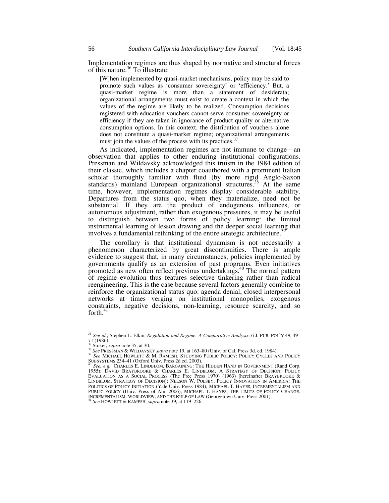Implementation regimes are thus shaped by normative and structural forces of this nature.<sup>36</sup> To illustrate:

[W]hen implemented by quasi-market mechanisms, policy may be said to promote such values as 'consumer sovereignty' or 'efficiency.' But, a quasi-market regime is more than a statement of desiderata; organizational arrangements must exist to create a context in which the values of the regime are likely to be realized. Consumption decisions registered with education vouchers cannot serve consumer sovereignty or efficiency if they are taken in ignorance of product quality or alternative consumption options. In this context, the distribution of vouchers alone does not constitute a quasi-market regime; organizational arrangements must join the values of the process with its practices.<sup>37</sup>

As indicated, implementation regimes are not immune to change—an observation that applies to other enduring institutional configurations. Pressman and Wildavsky acknowledged this truism in the 1984 edition of their classic, which includes a chapter coauthored with a prominent Italian scholar thoroughly familiar with fluid (by more rigid Anglo-Saxon standards) mainland European organizational structures.<sup>38</sup> At the same time, however, implementation regimes display considerable stability. Departures from the status quo, when they materialize, need not be substantial. If they are the product of endogenous influences, or autonomous adjustment, rather than exogenous pressures, it may be useful to distinguish between two forms of policy learning: the limited instrumental learning of lesson drawing and the deeper social learning that involves a fundamental rethinking of the entire strategic architecture.<sup>3</sup>

The corollary is that institutional dynamism is not necessarily a phenomenon characterized by great discontinuities. There is ample evidence to suggest that, in many circumstances, policies implemented by governments qualify as an extension of past programs. Even initiatives promoted as new often reflect previous undertakings.40 The normal pattern of regime evolution thus features selective tinkering rather than radical reengineering. This is the case because several factors generally combine to reinforce the organizational status quo: agenda denial, closed interpersonal networks at times verging on institutional monopolies, exogenous constraints, negative decisions, non-learning, resource scarcity, and so forth. $4$ 

 <sup>36</sup> *See id.*; Stephen L. Elkin, *Regulation and Regime: A Comparative Analysis*, 6 J. PUB. POL`Y 49, 49–  $71$  (1986).<br><sup>37</sup> Stoker, *supra* note 35, at 30.

<sup>&</sup>lt;sup>25</sup> Stoker, *supra* note 35, at 30.<br><sup>38</sup> See PRESSMAN & WILDAVSKY *supra* note 19, at 163–80 (Univ. of Cal. Press 3d. ed. 1984).<br><sup>39</sup> See PRESSMAN & WILDAVSKY SUPPARESH, STUDYING PUBLIC POLICY: POLICY CYCLES AND POLICY<br>SU

SUBSYSTEMS 234–41 (Oxford Univ. Press 2d ed. 2003).<br><sup>40</sup> *See, e.g.,* CHARLES E. LINDBLOM, BARGAINING: THE HIDDEN HAND IN GOVERNMENT (Rand Corp.<br>1955); DAVID BRAYBROOKE & CHARLES E. LINDBLOM, A STRATEGY OF DECISION: POLICY LINDBLOM, STRATEGY OF DECISION]; NELSON W. POLSBY, POLICY INNOVATION IN AMERICA: THE POLITICS OF POLICY INITIATION (Yale Univ. Press 1984); MICHAEL T. HAYES, INCREMENTALISM AND PUBLIC POLICY (Univ. Press of Am. 2006); MICHAEL T. HAYES, THE LIMITS OF POLICY CHANGE: INCREMENTALISM, WORLDVIEW, AND THE RULE OF LAW (Georgetown Univ. Press 2001). 41 *See* HOWLETT & RAMESH, *supra* note 39, at 119–226.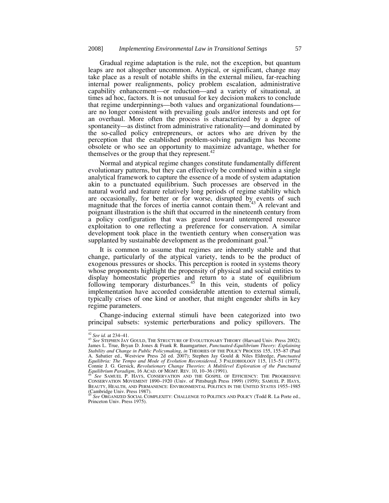Gradual regime adaptation is the rule, not the exception, but quantum leaps are not altogether uncommon. Atypical, or significant, change may take place as a result of notable shifts in the external milieu, far-reaching internal power realignments, policy problem escalation, administrative capability enhancement—or reduction—and a variety of situational, at times ad hoc, factors. It is not unusual for key decision makers to conclude that regime underpinnings—both values and organizational foundations are no longer consistent with prevailing goals and/or interests and opt for an overhaul. More often the process is characterized by a degree of spontaneity—as distinct from administrative rationality—and dominated by the so-called policy entrepreneurs, or actors who are driven by the perception that the established problem-solving paradigm has become obsolete or who see an opportunity to maximize advantage, whether for themselves or the group that they represent.<sup>42</sup>

Normal and atypical regime changes constitute fundamentally different evolutionary patterns, but they can effectively be combined within a single analytical framework to capture the essence of a mode of system adaptation akin to a punctuated equilibrium. Such processes are observed in the natural world and feature relatively long periods of regime stability which are occasionally, for better or for worse, disrupted by events of such magnitude that the forces of inertia cannot contain them.<sup>43</sup> A relevant and poignant illustration is the shift that occurred in the nineteenth century from a policy configuration that was geared toward untempered resource exploitation to one reflecting a preference for conservation. A similar development took place in the twentieth century when conservation was supplanted by sustainable development as the predominant goal.<sup>44</sup>

It is common to assume that regimes are inherently stable and that change, particularly of the atypical variety, tends to be the product of exogenous pressures or shocks. This perception is rooted in systems theory whose proponents highlight the propensity of physical and social entities to display homeostatic properties and return to a state of equilibrium following temporary disturbances.<sup>45</sup> In this vein, students of policy implementation have accorded considerable attention to external stimuli, typically crises of one kind or another, that might engender shifts in key regime parameters.

Change-inducing external stimuli have been categorized into two principal subsets: systemic perterburations and policy spillovers. The

<sup>42</sup> *See id.* at 234–41. 43 *See* STEPHEN JAY GOULD, THE STRUCTURE OF EVOLUTIONARY THEORY (Harvard Univ. Press 2002); James L. True, Bryan D. Jones & Frank R. Baumgartner, *Punctuated-Equilibrium Theory: Explaining Stability and Change in Public Policymaking, in THEORIES OF THE POLICY PROCESS 155, 155–87 (Paul* A. Sabatier ed., Westview Press 2d ed. 2007); Stephen Jay Gould & Niles Eldredge, *Punctuated Equilibria: The Tempo and Mode of Evolution Reconsidered*, 3 PALEOBIOLOGY 115, 115–51 (1977); Connie J. G. Gersick, *Revolutionary Change Theories: A Multilevel Exploration of the Punctuated Equilibrium Paradigm*, 16 ACAD. OF MGMT. REV. 10, 10–36 (1991).<br><sup>44</sup> See SAMUEL P. HAYS, CONSERVATION AND THE GOSPEL OF EFFIC

<sup>&</sup>lt;sup>44</sup> See SAMUEL P. HAYS, CONSERVATION AND THE GOSPEL OF EFFICIENCY: THE PROGRESSIVE CONSERVATION MOVEMENT 1890–1920 (Univ. of Pittsburgh Press 1999) (1959); SAMUEL P. HAYS, BEAUTY, HEALTH, AND PERMANENCE: ENVIRONMENTAL POLITICS IN THE UNITED STATES 1955–1985 (Cambridge Univ. Press 1987).

<sup>45</sup> *See* ORGANIZED SOCIAL COMPLEXITY: CHALLENGE TO POLITICS AND POLICY (Todd R. La Porte ed., Princeton Univ. Press 1975).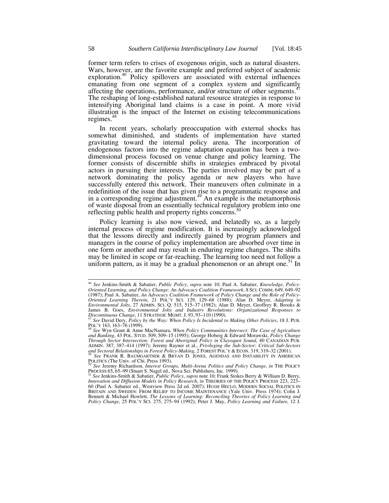former term refers to crises of exogenous origin, such as natural disasters. Wars, however, are the favorite example and preferred subject of academic exploration.<sup>46</sup> Policy spillovers are associated with external influences emanating from one segment of a complex system and significantly affecting the operations, performance, and/or structure of other segments.<sup>47</sup> The reshaping of long-established natural resource strategies in response to intensifying Aboriginal land claims is a case in point. A more vivid illustration is the impact of the Internet on existing telecommunications regimes. $4$ 

In recent years, scholarly preoccupation with external shocks has somewhat diminished, and students of implementation have started gravitating toward the internal policy arena. The incorporation of endogenous factors into the regime adaptation equation has been a twodimensional process focused on venue change and policy learning. The former consists of discernible shifts in strategies embraced by pivotal actors in pursuing their interests. The parties involved may be part of a network dominating the policy agenda or new players who have successfully entered this network. Their maneuvers often culminate in a redefinition of the issue that has given rise to a programmatic response and in a corresponding regime adjustment.<sup>49</sup> An example is the metamorphosis of waste disposal from an essentially technical regulatory problem into one reflecting public health and property rights concerns.<sup>50</sup>

Policy learning is also now viewed, and belatedly so, as a largely internal process of regime modification. It is increasingly acknowledged that the lessons directly and indirectly gained by program planners and managers in the course of policy implementation are absorbed over time in one form or another and may result in enduring regime changes. The shifts may be limited in scope or far-reaching. The learning too need not follow a uniform pattern, as it may be a gradual phenomenon or an abrupt one.<sup>51</sup> In

 <sup>46</sup> *See* Jenkins-Smith & Sabatier, *Public Policy*, *supra* note 10; Paul A. Sabatier, *Knowledge, Policy-Oriented Learning, and Policy Change: An Advocacy Coalition Framework*, 8 SCI. COMM. 649, 649–92 (1987); Paul A. Sabatier, *An Advocacy Coalition Framework of Policy Change and the Role of Policy-Oriented Learning Therein*, 21 POL'Y SCI. 129, 129–68 (1988); Alan D. Meyer, *Adapting to Environmental Jolts*, 27 ADMIN. SCI. Q. 515, 515–37 (1982); Alan D. Meyer, Geoffrey R. Brooks & James B. Goes, *Environmental Jolts and Industry Revolutions: Organizational Responses to*<br>Discontinuous Change, 11 STRATEGIC MGMT. J. 93, 93–110 (1990).<br><sup>47</sup> See David Dery, Policy by the Way: When Policy Is Incidental to

POL'Y 163, 163–76 (1999). 48 *See* Wyn Grant & Anne MacNamara, *When Policy Communities Intersect: The Case of Agriculture* 

*and Banking*, 43 POL. STUD. 509, 509–15 (1995); George Hoberg & Edward Morawski, *Policy Change Through Sector Intersection: Forest and Aboriginal Policy in Clayoquot Sound*, 40 CANADIAN PUB. ADMIN. 387, 387–414 (1997); Jeremy Rayner et al., *Privileging the Sub-Sector: Critical Sub-Sectors* 

<sup>&</sup>lt;sup>49</sup> See FRANK R. BAUMGARTNER & BRYAN D. JONES, AGENDAS AND INSTABILITY IN AMERICAN POLITICS (The Univ. of Chi. Press 1993).

**See Jeremy Richardson, Interest Groups, Multi-Arena Politics and Policy Change, in THE POLICY** PROCESS 65, 65–99 (Stuart S. Nagel ed., Nova Sci. Publishers, Inc. 1999). 51 *See* Jenkins-Smith & Sabatier, *Public Policy*, *supra* note 10; Frank Stokes Berry & William D. Berry,

*Innovation and Diffusion Models in Policy Research, in THEORIES OF THE POLICY PROCESS 223, 223–* 60 (Paul A. Sabatier ed., Westview Press 2d ed. 2007); HUGH HECLO, MODERN SOCIAL POLITICS IN BRITAIN AND SWEDEN: FROM RELIEF TO INCOME MAINTENANCE (Yale Univ. Press 1974); Colin J. Bennett & Michael Howlett, *The Lessons of Learning: Reconciling Theories of Policy Learning and Policy Change*, 25 POL'Y SCI. 275, 275–94 (1992); Peter J. May, *Policy Learning and Failure,* 12 J.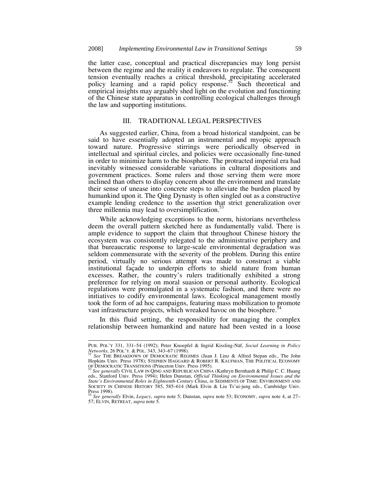the latter case, conceptual and practical discrepancies may long persist between the regime and the reality it endeavors to regulate. The consequent tension eventually reaches a critical threshold, precipitating accelerated policy learning and a rapid policy response.<sup>52</sup> Such theoretical and empirical insights may arguably shed light on the evolution and functioning of the Chinese state apparatus in controlling ecological challenges through the law and supporting institutions.

#### III. TRADITIONAL LEGAL PERSPECTIVES

As suggested earlier, China, from a broad historical standpoint, can be said to have essentially adopted an instrumental and myopic approach toward nature. Progressive stirrings were periodically observed in intellectual and spiritual circles, and policies were occasionally fine-tuned in order to minimize harm to the biosphere. The protracted imperial era had inevitably witnessed considerable variations in cultural dispositions and government practices. Some rulers and those serving them were more inclined than others to display concern about the environment and translate their sense of unease into concrete steps to alleviate the burden placed by humankind upon it. The Qing Dynasty is often singled out as a constructive example lending credence to the assertion that strict generalization over three millennia may lead to oversimplification.<sup>53</sup>

While acknowledging exceptions to the norm, historians nevertheless deem the overall pattern sketched here as fundamentally valid. There is ample evidence to support the claim that throughout Chinese history the ecosystem was consistently relegated to the administrative periphery and that bureaucratic response to large-scale environmental degradation was seldom commensurate with the severity of the problem. During this entire period, virtually no serious attempt was made to construct a viable institutional façade to underpin efforts to shield nature from human excesses. Rather, the country's rulers traditionally exhibited a strong preference for relying on moral suasion or personal authority. Ecological regulations were promulgated in a systematic fashion, and there were no initiatives to codify environmental laws. Ecological management mostly took the form of ad hoc campaigns, featuring mass mobilization to promote vast infrastructure projects, which wreaked havoc on the biosphere.<sup>5</sup>

In this fluid setting, the responsibility for managing the complex relationship between humankind and nature had been vested in a loose

PUB. POL'Y 331, 331–54 (1992); Peter Knoepfel & Ingrid Kissling-Näf, *Social Learning in Policy* 

*Networks*, 26 Pol.'y. & Pol. 343, 343–67 (1998).<br><sup>52</sup> *See* THE BREAKDOWN OF DEMOCRATIC REGIMES (Juan J. Linz & Alfred Stepan eds., The John<br>Hopkins Univ. Press 1978); STEPHEN HAGGARD & ROBERT R. KAUFMAN, THE POLITICAL EC

OF DEMOCRATIC TRANSITIONS (Princeton Univ. Press 1995).<br><sup>53</sup> See generally CIVIL LAW IN QING AND REPUBLICAN CHINA (Kathryn Bernhardt & Philip C. C. Huang<br>eds., Stanford Univ. Press 1994); Helen Dunstan, *Official Thinking State's Environmental Roles in Eighteenth-Century China*, *in* SEDIMENTS OF TIME: ENVIRONMENT AND SOCIETY IN CHINESE HISTORY 585, 585–614 (Mark Elvin & Liu Ts'ui-jung eds., Cambridge Univ. Press 1998).

<sup>54</sup> *See generally* Elvin, *Legacy*, *supra* note 5; Dunstan, *supra* note 53; ECONOMY, *supra* note 4, at 27– 57; ELVIN, RETREAT, *supra* note 5.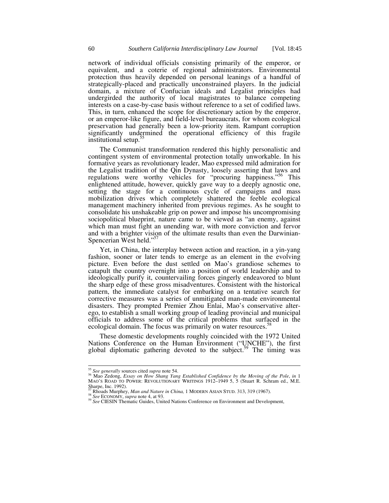network of individual officials consisting primarily of the emperor, or equivalent, and a coterie of regional administrators. Environmental protection thus heavily depended on personal leanings of a handful of strategically-placed and practically unconstrained players. In the judicial domain, a mixture of Confucian ideals and Legalist principles had undergirded the authority of local magistrates to balance competing interests on a case-by-case basis without reference to a set of codified laws. This, in turn, enhanced the scope for discretionary action by the emperor, or an emperor-like figure, and field-level bureaucrats, for whom ecological preservation had generally been a low-priority item. Rampant corruption significantly undermined the operational efficiency of this fragile institutional setup.55

The Communist transformation rendered this highly personalistic and contingent system of environmental protection totally unworkable. In his formative years as revolutionary leader, Mao expressed mild admiration for the Legalist tradition of the Qin Dynasty, loosely asserting that laws and regulations were worthy vehicles for "procuring happiness."56 This enlightened attitude, however, quickly gave way to a deeply agnostic one, setting the stage for a continuous cycle of campaigns and mass mobilization drives which completely shattered the feeble ecological management machinery inherited from previous regimes. As he sought to consolidate his unshakeable grip on power and impose his uncompromising sociopolitical blueprint, nature came to be viewed as "an enemy, against which man must fight an unending war, with more conviction and fervor and with a brighter vision of the ultimate results than even the Darwinian-Spencerian West held."<sup>57</sup>

Yet, in China, the interplay between action and reaction, in a yin-yang fashion, sooner or later tends to emerge as an element in the evolving picture. Even before the dust settled on Mao's grandiose schemes to catapult the country overnight into a position of world leadership and to ideologically purify it, countervailing forces gingerly endeavored to blunt the sharp edge of these gross misadventures. Consistent with the historical pattern, the immediate catalyst for embarking on a tentative search for corrective measures was a series of unmitigated man-made environmental disasters. They prompted Premier Zhou Enlai, Mao's conservative alterego, to establish a small working group of leading provincial and municipal officials to address some of the critical problems that surfaced in the ecological domain. The focus was primarily on water resources.<sup>5</sup>

These domestic developments roughly coincided with the 1972 United Nations Conference on the Human Environment ("UNCHE"), the first global diplomatic gathering devoted to the subject.<sup>59</sup> The timing was

<sup>&</sup>lt;sup>55</sup> See generally sources cited *supra* note 54.<br><sup>56</sup> Mao Zedong, *Essay on How Shang Yang Established Confidence by the Moving of the Pole*, *in* 1 MAO'S ROAD TO POWER: REVOLUTIONARY WRITINGS 1912–1949 5, 5 (Stuart R. Schram ed., M.E. Sharpe, Inc. 1992).<br><sup>57</sup> Rhoads Murphey, *Man and Nature in China*, 1 MODERN ASIAN STUD. 313, 319 (1967).

<sup>&</sup>lt;sup>58</sup> See ECONOMY, *supra* note 4, at 93.<br><sup>59</sup> See CIESIN Thematic Guides, United Nations Conference on Environment and Development,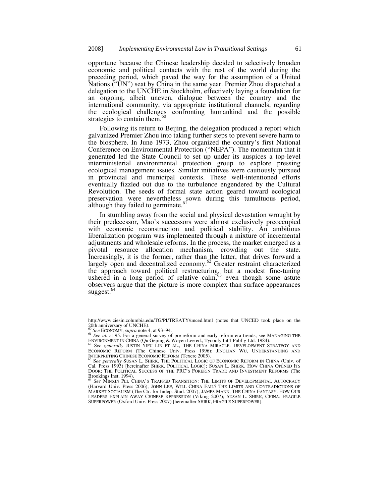opportune because the Chinese leadership decided to selectively broaden economic and political contacts with the rest of the world during the preceding period, which paved the way for the assumption of a United Nations ("UN") seat by China in the same year. Premier Zhou dispatched a delegation to the UNCHE in Stockholm, effectively laying a foundation for an ongoing, albeit uneven, dialogue between the country and the international community, via appropriate institutional channels, regarding the ecological challenges confronting humankind and the possible strategies to contain them.<sup>6</sup>

Following its return to Beijing, the delegation produced a report which galvanized Premier Zhou into taking further steps to prevent severe harm to the biosphere. In June 1973, Zhou organized the country's first National Conference on Environmental Protection ("NEPA"). The momentum that it generated led the State Council to set up under its auspices a top-level interministerial environmental protection group to explore pressing ecological management issues. Similar initiatives were cautiously pursued in provincial and municipal contexts. These well-intentioned efforts eventually fizzled out due to the turbulence engendered by the Cultural Revolution. The seeds of formal state action geared toward ecological preservation were nevertheless sown during this tumultuous period, although they failed to germinate.<sup>61</sup>

In stumbling away from the social and physical devastation wrought by their predecessor, Mao's successors were almost exclusively preoccupied with economic reconstruction and political stability. An ambitious liberalization program was implemented through a mixture of incremental adjustments and wholesale reforms. In the process, the market emerged as a pivotal resource allocation mechanism, crowding out the state. Increasingly, it is the former, rather than the latter, that drives forward a largely open and decentralized economy.<sup>62</sup> Greater restraint characterized the approach toward political restructuring, but a modest fine-tuning ushered in a long period of relative calm,  $63$  even though some astute observers argue that the picture is more complex than surface appearances  $suezest.<sup>64</sup>$ 

http://www.ciesin.columbia.edu/TG/PI/TREATY/unced.html (notes that UNCED took place on the 20th anniversary of UNCHE).<br> $^{60}$  See ECONOMY, supra note 4, at 93–94.

<sup>60</sup> *See id.* at 95. For a general survey of pre-reform and early reform-era trends, see MANAGING THE

ENVIRONMENT IN CHINA (Qu Geping & Woyen Lee ed., Tycooly Int'l Publ'g Ltd. 1984).<br><sup>62</sup> S*ee generally J*USTIN YIFU LIN ET AL., THE CHINA MIRACLE: DEVELOPMENT STRATEGY AND ECONOMIC REFORM (The Chinese Univ. Press 1996); JINGLIAN WU, UNDERSTANDING AND INTERPRETING CHINESE ECONOMIC REFORM (Texere 2005).<br><sup>63</sup> See generally SUSAN L. SHIRK, THE POLITICAL LOGIC OF ECONOMIC REFORM IN CHINA (Univ. of

Cal. Press 1993) [hereinafter SHIRK, POLITICAL LOGIC]; SUSAN L. SHIRK, HOW CHINA OPENED ITS DOOR; THE POLITICAL SUCCESS OF THE PRC'S FOREIGN TRADE AND INVESTMENT REFORMS (The Brookings Inst. 1994). <sup>64</sup> *See* MINXIN PEI, CHINA'S TRAPPED TRANSITION: THE LIMITS OF DEVELOPMENTAL AUTOCRACY

<sup>(</sup>Harvard Univ. Press 2006); JOHN LEE, WILL CHINA FAIL? THE LIMITS AND CONTRADICTIONS OF MARKET SOCIALISM (The Ctr. for Indep. Stud. 2007); JAMES MANN, THE CHINA FANTASY: HOW OUR LEADERS EXPLAIN AWAY CHINESE REPRESSION (Viking 2007); SUSAN L. SHIRK, CHINA: FRAGILE SUPERPOWER (Oxford Univ. Press 2007) [hereinafter SHIRK, FRAGILE SUPERPOWER].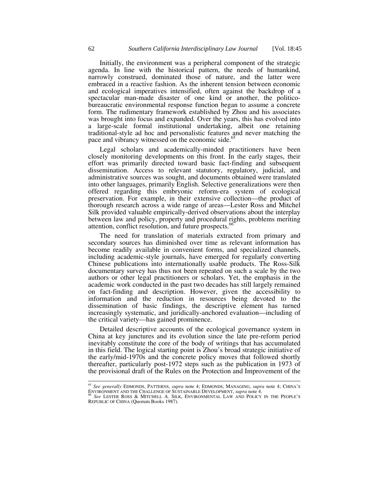Initially, the environment was a peripheral component of the strategic agenda. In line with the historical pattern, the needs of humankind, narrowly construed, dominated those of nature, and the latter were embraced in a reactive fashion. As the inherent tension between economic and ecological imperatives intensified, often against the backdrop of a spectacular man-made disaster of one kind or another, the politicobureaucratic environmental response function began to assume a concrete form. The rudimentary framework established by Zhou and his associates was brought into focus and expanded. Over the years, this has evolved into a large-scale formal institutional undertaking, albeit one retaining traditional-style ad hoc and personalistic features and never matching the pace and vibrancy witnessed on the economic side.<sup>65</sup>

Legal scholars and academically-minded practitioners have been closely monitoring developments on this front. In the early stages, their effort was primarily directed toward basic fact-finding and subsequent dissemination. Access to relevant statutory, regulatory, judicial, and administrative sources was sought, and documents obtained were translated into other languages, primarily English. Selective generalizations were then offered regarding this embryonic reform-era system of ecological preservation. For example, in their extensive collection—the product of thorough research across a wide range of areas—Lester Ross and Mitchel Silk provided valuable empirically-derived observations about the interplay between law and policy, property and procedural rights, problems meriting attention, conflict resolution, and future prospects.<sup>6</sup>

The need for translation of materials extracted from primary and secondary sources has diminished over time as relevant information has become readily available in convenient forms, and specialized channels, including academic-style journals, have emerged for regularly converting Chinese publications into internationally usable products. The Ross-Silk documentary survey has thus not been repeated on such a scale by the two authors or other legal practitioners or scholars. Yet, the emphasis in the academic work conducted in the past two decades has still largely remained on fact-finding and description. However, given the accessibility to information and the reduction in resources being devoted to the dissemination of basic findings, the descriptive element has turned increasingly systematic, and juridically-anchored evaluation—including of the critical variety—has gained prominence.

Detailed descriptive accounts of the ecological governance system in China at key junctures and its evolution since the late pre-reform period inevitably constitute the core of the body of writings that has accumulated in this field. The logical starting point is Zhou's broad strategic initiative of the early/mid-1970s and the concrete policy moves that followed shortly thereafter, particularly post-1972 steps such as the publication in 1973 of the provisional draft of the Rules on the Protection and Improvement of the

 <sup>65</sup> *See generally* EDMONDS, PATTERNS, *supra* note 4; EDMONDS, MANAGING, *supra* note 4; CHINA'S ENVIRONMENT AND THE CHALLENGE OF SUSTAINABLE DEVELOPMENT, *supra* note 4. 66 *See* LESTER ROSS & MITCHELL A. SILK, ENVIRONMENTAL LAW AND POLICY IN THE PEOPLE'S

REPUBLIC OF CHINA (Quorum Books 1987).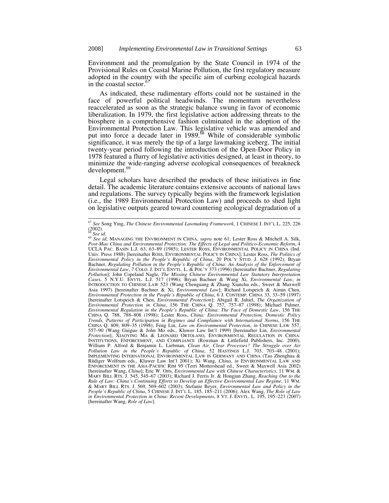Environment and the promulgation by the State Council in 1974 of the Provisional Rules on Coastal Marine Pollution, the first regulatory measure adopted in the country with the specific aim of curbing ecological hazards in the coastal sector.<sup>67</sup>

As indicated, these rudimentary efforts could not be sustained in the face of powerful political headwinds. The momentum nevertheless reaccelerated as soon as the strategic balance swung in favor of economic liberalization. In 1979, the first legislative action addressing threats to the biosphere in a comprehensive fashion culminated in the adoption of the Environmental Protection Law. This legislative vehicle was amended and put into force a decade later in 1989. $\frac{88}{10}$  While of considerable symbolic significance, it was merely the tip of a large lawmaking iceberg. The initial twenty-year period following the introduction of the Open-Door Policy in 1978 featured a flurry of legislative activities designed, at least in theory, to minimize the wide-ranging adverse ecological consequences of breakneck development.<sup>69</sup>

Legal scholars have described the products of these initiatives in fine detail. The academic literature contains extensive accounts of national laws and regulations. The survey typically begins with the framework legislation (i.e., the 1989 Environmental Protection Law) and proceeds to shed light on legislative outputs geared toward countering ecological degradation of a

 <sup>67</sup> *See* Song Ying, *The Chinese Environmental Lawmaking Framework*, 1 CHINESE J. INT'L L. 225, 226  $^{(2002)}_{68}$ See id.

<sup>&</sup>lt;sup>69</sup> See id: MANAGING THE ENVIRONMENT IN CHINA, *supra* note 61; Lester Ross & Mitchell A. Silk, *Post-Mao China and Environmental Protection: The Effects of Legal and Politico-Economic Reform*, 4 UCLA PAC. BASIN L.J. 63, 63–89 (1985); LESTER ROSS, ENVIRONMENTAL POLICY IN CHINA (Ind. Univ. Press 1988) [hereinafter ROSS, ENVIRONMENTAL POLICY IN CHINA]; Lester Ross, *The Politics of Environmental Policy in the People's Republic of China*, 20 POL'Y STUD. J. 628 (1992); Bryan Bachner, *Regulating Pollution in the People's Republic of China: An Analysis of the Enforcement of Environmental Law*, 7 COLO. J. INT'L ENVTL. L. & POL'Y 373 (1996) [hereinafter Bachner, *Regulating Pollution*]; John Copeland Nagle, *The Missing Chinese Environmental Law Statutory Interpretation Cases*, 5 N.Y.U. ENVTL. L.J. 517 (1996); Bryan Bachner & Wang Xi, *Environmental Law*, *in* INTRODUCTION TO CHINESE LAW 523 (Wang Chenguang & Zhang Xianchu eds., Sweet & Maxwell Asia 1997) [hereinafter Bachner & Xi, *Environmental Law*]; Richard Lotspeich & Aimin Chen, *Environmental Protection in the People's Republic of China*, 6 J. CONTEMP. CHINA 33, 33–59 (1997) [hereinafter Lotspeich & Chen, *Environmental Protection*]; Abigail R. Jahiel, *The Organization of Environmental Protection in China*, 156 THE CHINA Q. 757, 757–87 (1998); Michael Palmer, *Environmental Regulation in the People's Republic of China: The Face of Domestic Law*, 156 THE CHINA Q. 788, 788–808 (1998); Lester Ross, *China: Environmental Protection, Domestic Policy Trends, Patterns of Participation in Regimes and Compliance with International Norms*, 156 THE CHINA Q. 809, 809–35 (1998); Feng Lin, *Law on Environmental Protection*, *in* CHINESE LAW 557, 557–90 (Wang Guiguo & John Mo eds., Kluwer Law Int'l 1999) [hereinafter Lin, *Environmental Protection*]; XIAOYING MA & LEONARD ORTOLANO, ENVIRONMENTAL REGULATION IN CHINA: INSTITUTIONS, ENFORCEMENT, AND COMPLIANCE (Rowman & Littlefield Publishers, Inc. 2000); William P. Alford & Benjamin L. Liebman, *Clean Air, Clear Processes? The Struggle over Air Pollution Law in the People's Republic of China*, 52 HASTINGS L.J. 703, 703–48 (2001); IMPLEMENTING INTERNATIONAL ENVIRONMENTAL LAW IN GERMANY AND CHINA (Tao Zhenghua & Rüdiger Wolfrum eds., Kluwer Law Int'l 2001); Xi Wang, *China*, *in* ENVIRONMENTAL LAW AND ENFORCEMENT IN THE ASIA-PACIFIC RIM 95 (Terri Mottershead ed., Sweet & Maxwell Asia 2002) [hereinafter Wang, *China*]; Eric W. Orts, *Environmental Law with Chinese Characteristics*, 11 WM. & MARY BILL RTS. J. 545, 545–67 (2003); Richard J. Ferris Jr. & Hongjun Zhang, *Reaching Out to the Rule of Law: China's Continuing Efforts to Develop an Effective Environmental Law Regime*, 11 WM. & MARY BILL RTS. J. 569, 569–602 (2003); Stefanie Beyer, *Environmental Law and Policy in the People's Republic of China*, 5 CHINESE J. INT'L L. 185, 185–211 (2006); Alex Wang, *The Role of Law in Environmental Protection in China: Recent Developments*, 8 VT. J. ENVTL. L. 195, 195–223 (2007) [hereinafter Wang, *Role of Law*].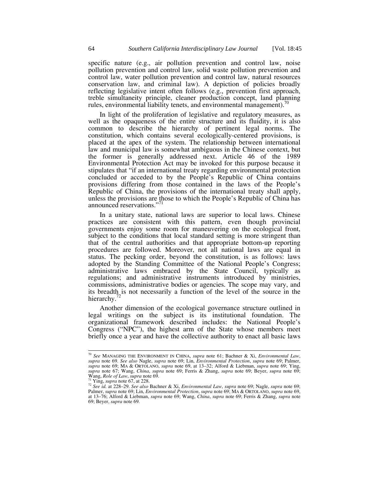specific nature (e.g., air pollution prevention and control law, noise pollution prevention and control law, solid waste pollution prevention and control law, water pollution prevention and control law, natural resources conservation law, and criminal law). A depiction of policies broadly reflecting legislative intent often follows (e.g., prevention first approach, treble simultaneity principle, cleaner production concept, land planning rules, environmental liability tenets, and environmental management).<sup>70</sup>

In light of the proliferation of legislative and regulatory measures, as well as the opaqueness of the entire structure and its fluidity, it is also common to describe the hierarchy of pertinent legal norms. The constitution, which contains several ecologically-centered provisions, is placed at the apex of the system. The relationship between international law and municipal law is somewhat ambiguous in the Chinese context, but the former is generally addressed next. Article 46 of the 1989 Environmental Protection Act may be invoked for this purpose because it stipulates that "if an international treaty regarding environmental protection concluded or acceded to by the People's Republic of China contains provisions differing from those contained in the laws of the People's Republic of China, the provisions of the international treaty shall apply, unless the provisions are those to which the People's Republic of China has announced reservations."<sup>71</sup>

In a unitary state, national laws are superior to local laws. Chinese practices are consistent with this pattern, even though provincial governments enjoy some room for maneuvering on the ecological front, subject to the conditions that local standard setting is more stringent than that of the central authorities and that appropriate bottom-up reporting procedures are followed. Moreover, not all national laws are equal in status. The pecking order, beyond the constitution, is as follows: laws adopted by the Standing Committee of the National People's Congress; administrative laws embraced by the State Council, typically as regulations; and administrative instruments introduced by ministries, commissions, administrative bodies or agencies. The scope may vary, and its breadth is not necessarily a function of the level of the source in the hierarchy.<sup>72</sup>

Another dimension of the ecological governance structure outlined in legal writings on the subject is its institutional foundation. The organizational framework described includes: the National People's Congress ("NPC"), the highest arm of the State whose members meet briefly once a year and have the collective authority to enact all basic laws

 <sup>70</sup> *See* MANAGING THE ENVIRONMENT IN CHINA, *supra* note 61; Bachner & Xi, *Environmental Law*, *supra* note 69. *See also* Nagle, *supra* note 69; Lin, *Environmental Protection*, *supra* note 69; Palmer, supra note 69; MA & ORTOLANO, supra note 69, at 13–32; Alford & Liebman, supra note 69; Ying, supra note 67; Wang, China, supra note 69; Ferris & Zhang, supra note 69; Beyer, supra note 69;  $\frac{W}{N}$ ang,  $Role$  of Law, supr

<sup>&</sup>lt;sup>21</sup> See id. at 228–29. See also Bachner & Xi, *Environmental Law, supra* note 69; Nagle, *supra* note 69;<br>Palmer, *supra* note 69; Lin, *Environmental Protection*, *supra* note 69; MA & ORTOLANO, *supra* note 69, at 13–76; Alford & Liebman, *supra* note 69; Wang, *China*, *supra* note 69; Ferris & Zhang, *supra* note 69; Beyer, *supra* note 69.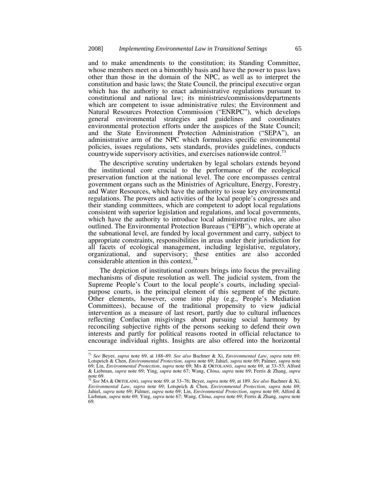and to make amendments to the constitution; its Standing Committee, whose members meet on a bimonthly basis and have the power to pass laws other than those in the domain of the NPC, as well as to interpret the constitution and basic laws; the State Council, the principal executive organ which has the authority to enact administrative regulations pursuant to constitutional and national law; its ministries/commissions/departments which are competent to issue administrative rules; the Environment and Natural Resources Protection Commission ("ENRPC"), which develops general environmental strategies and guidelines and coordinates environmental protection efforts under the auspices of the State Council; and the State Environment Protection Administration ("SEPA"), an administrative arm of the NPC which formulates specific environmental policies, issues regulations, sets standards, provides guidelines, conducts countrywide supervisory activities, and exercises nationwide control.

The descriptive scrutiny undertaken by legal scholars extends beyond the institutional core crucial to the performance of the ecological preservation function at the national level. The core encompasses central government organs such as the Ministries of Agriculture, Energy, Forestry, and Water Resources, which have the authority to issue key environmental regulations. The powers and activities of the local people's congresses and their standing committees, which are competent to adopt local regulations consistent with superior legislation and regulations, and local governments, which have the authority to introduce local administrative rules, are also outlined. The Environmental Protection Bureaus ("EPB"), which operate at the subnational level, are funded by local government and carry, subject to appropriate constraints, responsibilities in areas under their jurisdiction for all facets of ecological management, including legislative, regulatory, organizational, and supervisory; these entities are also accorded considerable attention in this context.<sup>74</sup>

The depiction of institutional contours brings into focus the prevailing mechanisms of dispute resolution as well. The judicial system, from the Supreme People's Court to the local people's courts, including specialpurpose courts, is the principal element of this segment of the picture. Other elements, however, come into play (e.g., People's Mediation Committees), because of the traditional propensity to view judicial intervention as a measure of last resort, partly due to cultural influences reflecting Confucian misgivings about pursuing social harmony by reconciling subjective rights of the persons seeking to defend their own interests and partly for political reasons rooted in official reluctance to encourage individual rights. Insights are also offered into the horizontal

 <sup>73</sup> *See* Beyer, *supra* note 69, at 188–89. *See also* Bachner & Xi, *Environmental Law*, *supra* note 69; Lotspeich & Chen, *Environmental Protection*, *supra* note 69; Jahiel, *supra* note 69; Palmer, *supra* note 69; Lin, *Environmental Protection*, *supra* note 69; MA & ORTOLANO, *supra* note 69, at 33–53; Alford & Liebman, *supra* note 69; Ying, *supra* note 67; Wang, *China*, *supra* note 69; Ferris & Zhang, *supra*  note 69. <sup>74</sup> *See* MA & ORTOLANO, *supra* note 69, at 33–76; Beyer, *supra* note 69, at 189. *See also* Bachner & Xi,

*Environmental Law, supra* note 69; Lotspeich & Chen, *Environmental Protection, supra* note 69; <br>Jahiel, *supra* note 69; Palmer, *supra* note 69; Lin, *Environmental Protection, supra* note 69; Alford & Liebman, *supra* note 69; Ying, *supra* note 67; Wang, *China*, *supra* note 69; Ferris & Zhang, *supra* note 69.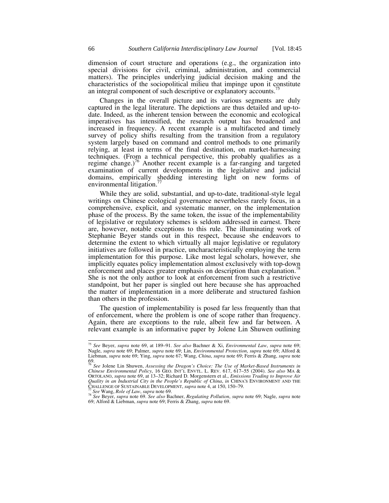dimension of court structure and operations (e.g., the organization into special divisions for civil, criminal, administration, and commercial matters). The principles underlying judicial decision making and the characteristics of the sociopolitical milieu that impinge upon it constitute an integral component of such descriptive or explanatory accounts.

Changes in the overall picture and its various segments are duly captured in the legal literature. The depictions are thus detailed and up-todate. Indeed, as the inherent tension between the economic and ecological imperatives has intensified, the research output has broadened and increased in frequency. A recent example is a multifaceted and timely survey of policy shifts resulting from the transition from a regulatory system largely based on command and control methods to one primarily relying, at least in terms of the final destination, on market-harnessing techniques. (From a technical perspective, this probably qualifies as a regime change.)<sup>76</sup> Another recent example is a far-ranging and targeted examination of current developments in the legislative and judicial domains, empirically shedding interesting light on new forms of environmental litigation.<sup>77</sup>

While they are solid, substantial, and up-to-date, traditional-style legal writings on Chinese ecological governance nevertheless rarely focus, in a comprehensive, explicit, and systematic manner, on the implementation phase of the process. By the same token, the issue of the implementability of legislative or regulatory schemes is seldom addressed in earnest. There are, however, notable exceptions to this rule. The illuminating work of Stephanie Beyer stands out in this respect, because she endeavors to determine the extent to which virtually all major legislative or regulatory initiatives are followed in practice, uncharacteristically employing the term implementation for this purpose. Like most legal scholars, however, she implicitly equates policy implementation almost exclusively with top-down enforcement and places greater emphasis on description than explanation.<sup>78</sup> She is not the only author to look at enforcement from such a restrictive standpoint, but her paper is singled out here because she has approached the matter of implementation in a more deliberate and structured fashion than others in the profession.

The question of implementability is posed far less frequently than that of enforcement, where the problem is one of scope rather than frequency. Again, there are exceptions to the rule, albeit few and far between. A relevant example is an informative paper by Jolene Lin Shuwen outlining

 <sup>75</sup> *See* Beyer, *supra* note 69, at 189–91. *See also* Bachner & Xi, *Environmental Law*, *supra* note 69; Nagle, *supra* note 69; Palmer, *supra* note 69; Lin, *Environmental Protection*, *supra* note 69; Alford & Liebman, *supra* note 69; Ying, *supra* note 67; Wang, *China*, *supra* note 69; Ferris & Zhang, *supra* note 69. <sup>76</sup> *See* Jolene Lin Shuwen, *Assessing the Dragon's Choice: The Use of Market-Based Instruments in* 

*Chinese Environmental Policy*, 16 GEO. INT'L ENVTL. L. REV. 617, 617–55 (2004). *See also* MA & ORTOLANO, *supra* note 69, at 13–32; Richard D. Morgenstern et al., *Emissions Trading to Improve Air Quality in an Industrial City in the People's Republic of China, in CHINA'S ENVIRONMENT AND THE CHALLENGE OF SUSTAINABLE DEVELOPMENT, supra note 4, at 150, 150–79.* 

<sup>&</sup>lt;sup>77</sup> See Wang, Role of Law, supra note 69.<br><sup>78</sup> See Beyer, supra note 69. See also Bachner, Regulating Pollution, supra note 69; Nagle, supra note 69; Alford & Liebman, *supra* note 69; Ferris & Zhang, *supra* note 69.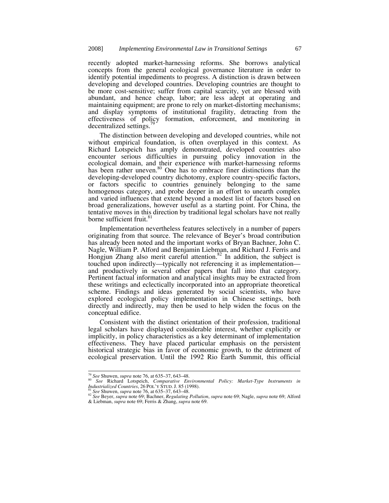recently adopted market-harnessing reforms. She borrows analytical concepts from the general ecological governance literature in order to identify potential impediments to progress. A distinction is drawn between developing and developed countries. Developing countries are thought to be more cost-sensitive; suffer from capital scarcity, yet are blessed with abundant, and hence cheap, labor; are less adept at operating and maintaining equipment; are prone to rely on market-distorting mechanisms; and display symptoms of institutional fragility, detracting from the effectiveness of policy formation, enforcement, and monitoring in decentralized settings.<sup>7</sup>

The distinction between developing and developed countries, while not without empirical foundation, is often overplayed in this context. As Richard Lotspeich has amply demonstrated, developed countries also encounter serious difficulties in pursuing policy innovation in the ecological domain, and their experience with market-harnessing reforms has been rather uneven.<sup>80</sup> One has to embrace finer distinctions than the developing-developed country dichotomy, explore country-specific factors, or factors specific to countries genuinely belonging to the same homogenous category, and probe deeper in an effort to unearth complex and varied influences that extend beyond a modest list of factors based on broad generalizations, however useful as a starting point. For China, the tentative moves in this direction by traditional legal scholars have not really borne sufficient fruit.<sup>8</sup>

Implementation nevertheless features selectively in a number of papers originating from that source. The relevance of Beyer's broad contribution has already been noted and the important works of Bryan Bachner, John C. Nagle, William P. Alford and Benjamin Liebman, and Richard J. Ferris and Hongjun Zhang also merit careful attention.<sup>82</sup> In addition, the subject is touched upon indirectly—typically not referencing it as implementation and productively in several other papers that fall into that category. Pertinent factual information and analytical insights may be extracted from these writings and eclectically incorporated into an appropriate theoretical scheme. Findings and ideas generated by social scientists, who have explored ecological policy implementation in Chinese settings, both directly and indirectly, may then be used to help widen the focus on the conceptual edifice.

Consistent with the distinct orientation of their profession, traditional legal scholars have displayed considerable interest, whether explicitly or implicitly, in policy characteristics as a key determinant of implementation effectiveness. They have placed particular emphasis on the persistent historical strategic bias in favor of economic growth, to the detriment of ecological preservation. Until the 1992 Rio Earth Summit, this official

<sup>&</sup>lt;sup>79</sup> *See* Shuwen, *supra* note 76, at 635–37, 643–48.<br><sup>80</sup> *See* Richard Lotspeich, *Comparative Environmental Policy: Market-Type Instruments in Industrialized Countries, 26 POL'Y STUD. J. 85 (1998).<br><sup>81</sup> <i>See* Shuwen,

<sup>&</sup>lt;sup>82</sup> See Beyer, supra note 69; Bachner, Regulating Pollution, supra note 69; Nagle, supra note 69; Alford & Liebman, *supra* note 69; Ferris & Zhang, *supra* note 69.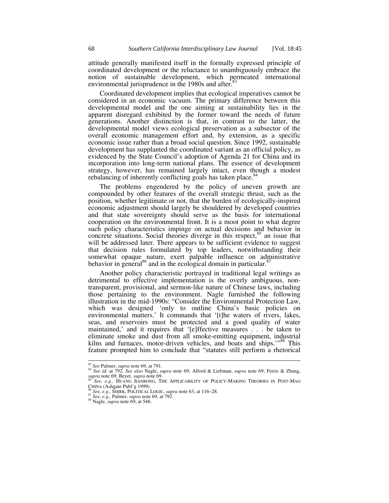attitude generally manifested itself in the formally expressed principle of coordinated development or the reluctance to unambiguously embrace the notion of sustainable development, which permeated international environmental jurisprudence in the 1980s and after.<sup>83</sup>

Coordinated development implies that ecological imperatives cannot be considered in an economic vacuum. The primary difference between this developmental model and the one aiming at sustainability lies in the apparent disregard exhibited by the former toward the needs of future generations. Another distinction is that, in contrast to the latter, the developmental model views ecological preservation as a subsector of the overall economic management effort and, by extension, as a specific economic issue rather than a broad social question. Since 1992, sustainable development has supplanted the coordinated variant as an official policy, as evidenced by the State Council's adoption of Agenda 21 for China and its incorporation into long-term national plans. The essence of development strategy, however, has remained largely intact, even though a modest rebalancing of inherently conflicting goals has taken place.<sup>84</sup>

The problems engendered by the policy of uneven growth are compounded by other features of the overall strategic thrust, such as the position, whether legitimate or not, that the burden of ecologically-inspired economic adjustment should largely be shouldered by developed countries and that state sovereignty should serve as the basis for international cooperation on the environmental front. It is a moot point to what degree such policy characteristics impinge on actual decisions and behavior in concrete situations. Social theories diverge in this respect,  $85$  an issue that will be addressed later. There appears to be sufficient evidence to suggest that decision rules formulated by top leaders, notwithstanding their somewhat opaque nature, exert palpable influence on administrative behavior in general<sup>86</sup> and in the ecological domain in particular.<sup>87</sup>

Another policy characteristic portrayed in traditional legal writings as detrimental to effective implementation is the overly ambiguous, nontransparent, provisional, and sermon-like nature of Chinese laws, including those pertaining to the environment. Nagle furnished the following illustration in the mid-1990s: "Consider the Environmental Protection Law, which was designed 'only to outline China's basic policies on environmental matters.' It commands that '[t]he waters of rivers, lakes, seas, and reservoirs must be protected and a good quality of water maintained,' and it requires that '[e]ffective measures . . . be taken to eliminate smoke and dust from all smoke-emitting equipment, industrial kilns and furnaces, motor-driven vehicles, and boats and ships."<sup>88</sup> This feature prompted him to conclude that "statutes still perform a rhetorical

<sup>83</sup> *See* Palmer, *supra* note 69, at 791. 84 *See id.* at 792. *See also* Nagle, *supra* note 69; Alford & Liebman, *supra* note 69; Ferris & Zhang, *supra* note 69; Beyer, *supra* note 69.<br><sup>85</sup> *See, e.g., HUANG JIANRONG, THE APPLICABILITY OF POLICY-MAKING THEORIES IN POST-MAO* 

CHINA (Ashgate Publ'g 1999). 86 *See, e.g.,* SHIRK, POLITICAL LOGIC, *supra* note 63, at 116–28. 87 *See, e.g.,* Palmer, *supra* note 69, at 792. 88 Nagle, *supra* note 69, at 546.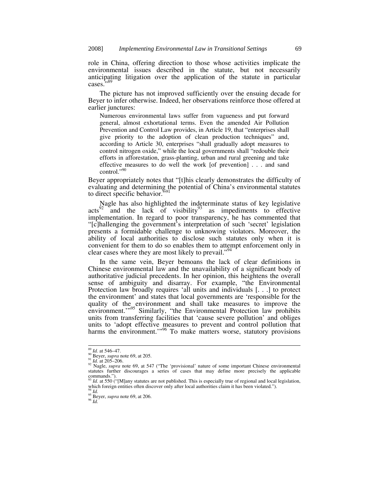role in China, offering direction to those whose activities implicate the environmental issues described in the statute, but not necessarily anticipating litigation over the application of the statute in particular cases."<sup>89</sup>

The picture has not improved sufficiently over the ensuing decade for Beyer to infer otherwise. Indeed, her observations reinforce those offered at earlier junctures:

Numerous environmental laws suffer from vagueness and put forward general, almost exhortational terms. Even the amended Air Pollution Prevention and Control Law provides, in Article 19, that "enterprises shall give priority to the adoption of clean production techniques" and, according to Article 30, enterprises "shall gradually adopt measures to control nitrogen oxide," while the local governments shall "redouble their efforts in afforestation, grass-planting, urban and rural greening and take effective measures to do well the work [of prevention] . . . and sand control."90

Beyer appropriately notes that "[t]his clearly demonstrates the difficulty of evaluating and determining the potential of China's environmental statutes to direct specific behavior. $\mathbf{F}^{91}$ 

Nagle has also highlighted the indeterminate status of key legislative  $\arctan \frac{1}{2}$  and the lack of visibility<sup>93</sup> as impediments to effective implementation. In regard to poor transparency, he has commented that "[c]hallenging the government's interpretation of such 'secret' legislation presents a formidable challenge to unknowing violators. Moreover, the ability of local authorities to disclose such statutes only when it is convenient for them to do so enables them to attempt enforcement only in clear cases where they are most likely to prevail."<sup>94</sup>

In the same vein, Beyer bemoans the lack of clear definitions in Chinese environmental law and the unavailability of a significant body of authoritative judicial precedents. In her opinion, this heightens the overall sense of ambiguity and disarray. For example, "the Environmental Protection law broadly requires 'all units and individuals [. . .] to protect the environment' and states that local governments are 'responsible for the quality of the environment and shall take measures to improve the environment."<sup>95</sup> Similarly, "the Environmental Protection law prohibits units from transferring facilities that 'cause severe pollution' and obliges units to 'adopt effective measures to prevent and control pollution that harms the environment."<sup>96</sup> To make matters worse, statutory provisions

<sup>&</sup>lt;sup>89</sup> *Id.* at 546–47.<br><sup>90</sup> Beyer, *supra* note 69, at 205.<br><sup>91</sup> *Id.* at 205–206.<br><sup>92</sup> Nagle, *supra* note 69, at 547 ("The 'provisional' nature of some important Chinese environmental statutes further discourages a series of cases that may define more precisely the applicable  $\sum_{93}$  commands.").

Id. at 550 ("[M]any statutes are not published. This is especially true of regional and local legislation, which foreign entities often discover only after local authorities claim it has been violated."). <sup>94</sup> *Id.* <sup>95</sup> Beyer, *supra* note 69, at 206. <sup>96</sup> *Id*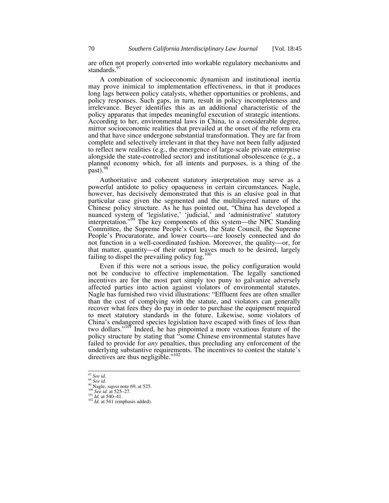are often not properly converted into workable regulatory mechanisms and standards.<sup>97</sup>

A combination of socioeconomic dynamism and institutional inertia may prove inimical to implementation effectiveness, in that it produces long lags between policy catalysts, whether opportunities or problems, and policy responses. Such gaps, in turn, result in policy incompleteness and irrelevance. Beyer identifies this as an additional characteristic of the policy apparatus that impedes meaningful execution of strategic intentions. According to her, environmental laws in China, to a considerable degree, mirror socioeconomic realities that prevailed at the onset of the reform era and that have since undergone substantial transformation. They are far from complete and selectively irrelevant in that they have not been fully adjusted to reflect new realities (e.g., the emergence of large-scale private enterprise alongside the state-controlled sector) and institutional obsolescence (e.g., a planned economy which, for all intents and purposes, is a thing of the  $past)$ .<sup>98</sup>

Authoritative and coherent statutory interpretation may serve as a powerful antidote to policy opaqueness in certain circumstances. Nagle, however, has decisively demonstrated that this is an elusive goal in that particular case given the segmented and the multilayered nature of the Chinese policy structure. As he has pointed out, "China has developed a nuanced system of 'legislative,' 'judicial,' and 'administrative' statutory interpretation."99 The key components of this system—the NPC Standing Committee, the Supreme People's Court, the State Council, the Supreme People's Procuratorate, and lower courts—are loosely connected and do not function in a well-coordinated fashion. Moreover, the quality—or, for that matter, quantity—of their output leaves much to be desired, largely failing to dispel the prevailing policy fog. $100$ 

Even if this were not a serious issue, the policy configuration would not be conducive to effective implementation. The legally sanctioned incentives are for the most part simply too puny to galvanize adversely affected parties into action against violators of environmental statutes. Nagle has furnished two vivid illustrations: "Effluent fees are often smaller than the cost of complying with the statute, and violators can generally recover what fees they do pay in order to purchase the equipment required to meet statutory standards in the future. Likewise, some violators of China's endangered species legislation have escaped with fines of less than two dollars."<sup>101</sup> Indeed, he has pinpointed a more vexatious feature of the policy structure by stating that "some Chinese environmental statutes have failed to provide for *any* penalties, thus precluding any enforcement of the underlying substantive requirements. The incentives to contest the statute's directives are thus negligible."<sup>102</sup>

<sup>97</sup> *See id.* <sup>98</sup> *See id.* 99 Nagle, *supra* note 69, at 525. 100 *See id.* at 525–27. 101 *Id.* at 540–41. 102 *Id.* at 541 (emphasis added).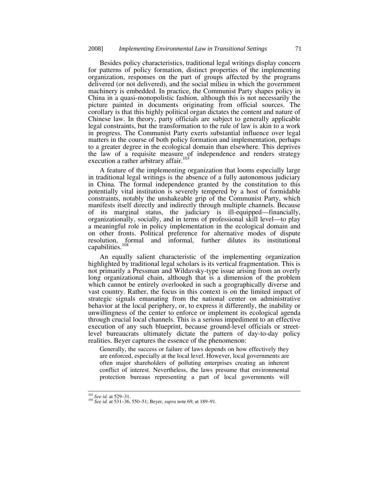Besides policy characteristics, traditional legal writings display concern for patterns of policy formation, distinct properties of the implementing organization, responses on the part of groups affected by the programs delivered (or not delivered), and the social milieu in which the government machinery is embedded. In practice, the Communist Party shapes policy in China in a quasi-monopolistic fashion, although this is not necessarily the picture painted in documents originating from official sources. The corollary is that this highly political organ dictates the content and nature of Chinese law. In theory, party officials are subject to generally applicable legal constraints, but the transformation to the rule of law is akin to a work in progress. The Communist Party exerts substantial influence over legal matters in the course of both policy formation and implementation, perhaps to a greater degree in the ecological domain than elsewhere. This deprives the law of a requisite measure of independence and renders strategy execution a rather arbitrary affair.<sup>103</sup>

A feature of the implementing organization that looms especially large in traditional legal writings is the absence of a fully autonomous judiciary in China. The formal independence granted by the constitution to this potentially vital institution is severely tempered by a host of formidable constraints, notably the unshakeable grip of the Communist Party, which manifests itself directly and indirectly through multiple channels. Because of its marginal status, the judiciary is ill-equipped—financially, organizationally, socially, and in terms of professional skill level—to play a meaningful role in policy implementation in the ecological domain and on other fronts. Political preference for alternative modes of dispute resolution, formal and informal, further dilutes its institutional capabilities.<sup>104</sup>

An equally salient characteristic of the implementing organization highlighted by traditional legal scholars is its vertical fragmentation. This is not primarily a Pressman and Wildavsky-type issue arising from an overly long organizational chain, although that is a dimension of the problem which cannot be entirely overlooked in such a geographically diverse and vast country. Rather, the focus in this context is on the limited impact of strategic signals emanating from the national center on administrative behavior at the local periphery, or, to express it differently, the inability or unwillingness of the center to enforce or implement its ecological agenda through crucial local channels. This is a serious impediment to an effective execution of any such blueprint, because ground-level officials or streetlevel bureaucrats ultimately dictate the pattern of day-to-day policy realities. Beyer captures the essence of the phenomenon:

Generally, the success or failure of laws depends on how effectively they are enforced, especially at the local level. However, local governments are often major shareholders of polluting enterprises creating an inherent conflict of interest. Nevertheless, the laws presume that environmental protection bureaus representing a part of local governments will

<sup>103</sup> *See id.* at 529–31. 104 *See id.* at 531–36, 550–51; Beyer, *supra* note 69, at 189–91.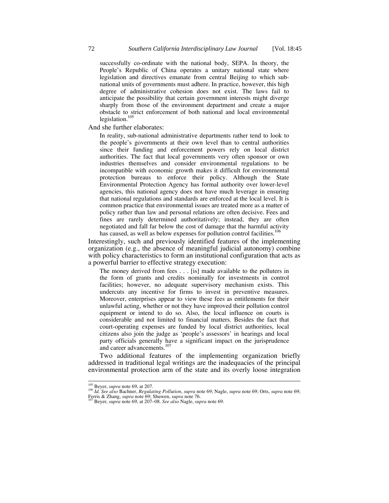successfully co-ordinate with the national body, SEPA. In theory, the People's Republic of China operates a unitary national state where legislation and directives emanate from central Beijing to which subnational units of governments must adhere. In practice, however, this high degree of administrative cohesion does not exist. The laws fail to anticipate the possibility that certain government interests might diverge sharply from those of the environment department and create a major obstacle to strict enforcement of both national and local environmental legislation. $10$ 

And she further elaborates:

In reality, sub-national administrative departments rather tend to look to the people's governments at their own level than to central authorities since their funding and enforcement powers rely on local district authorities. The fact that local governments very often sponsor or own industries themselves and consider environmental regulations to be incompatible with economic growth makes it difficult for environmental protection bureaus to enforce their policy. Although the State Environmental Protection Agency has formal authority over lower-level agencies, this national agency does not have much leverage in ensuring that national regulations and standards are enforced at the local level. It is common practice that environmental issues are treated more as a matter of policy rather than law and personal relations are often decisive. Fees and fines are rarely determined authoritatively; instead, they are often negotiated and fall far below the cost of damage that the harmful activity has caused, as well as below expenses for pollution control facilities.<sup>106</sup>

Interestingly, such and previously identified features of the implementing organization (e.g., the absence of meaningful judicial autonomy) combine with policy characteristics to form an institutional configuration that acts as a powerful barrier to effective strategy execution:

The money derived from fees . . . [is] made available to the polluters in the form of grants and credits nominally for investments in control facilities; however, no adequate supervisory mechanism exists. This undercuts any incentive for firms to invest in preventive measures. Moreover, enterprises appear to view these fees as entitlements for their unlawful acting, whether or not they have improved their pollution control equipment or intend to do so. Also, the local influence on courts is considerable and not limited to financial matters. Besides the fact that court-operating expenses are funded by local district authorities, local citizens also join the judge as 'people's assessors' in hearings and local party officials generally have a significant impact on the jurisprudence and career advancements.<sup>107</sup>

Two additional features of the implementing organization briefly addressed in traditional legal writings are the inadequacies of the principal environmental protection arm of the state and its overly loose integration

<sup>&</sup>lt;sup>105</sup> Beyer, *supra* note 69, at 207.<br><sup>106</sup> *Id. See also* Bachner, *Regulating Pollution*, *supra* note 69; Nagle, *supra* note 69; Orts, *supra* note 69;

Ferris & Zhang, *supra* note 69; Shuwen, *supra* note 76. 107 Beyer, *supra* note 69, at 207–08. *See also* Nagle, *supra* note 69.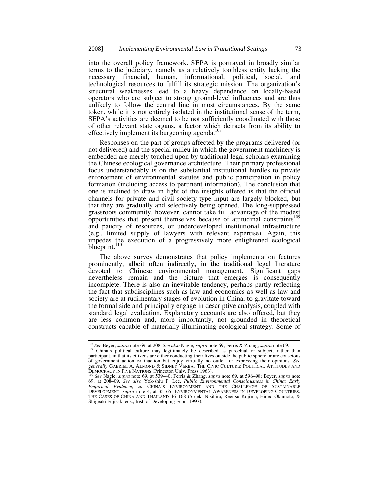into the overall policy framework. SEPA is portrayed in broadly similar terms to the judiciary, namely as a relatively toothless entity lacking the necessary financial, human, informational, political, social, and technological resources to fulfill its strategic mission. The organization's structural weaknesses lead to a heavy dependence on locally-based operators who are subject to strong ground-level influences and are thus unlikely to follow the central line in most circumstances. By the same token, while it is not entirely isolated in the institutional sense of the term, SEPA's activities are deemed to be not sufficiently coordinated with those of other relevant state organs, a factor which detracts from its ability to effectively implement its burgeoning agenda.<sup>108</sup>

Responses on the part of groups affected by the programs delivered (or not delivered) and the special milieu in which the government machinery is embedded are merely touched upon by traditional legal scholars examining the Chinese ecological governance architecture. Their primary professional focus understandably is on the substantial institutional hurdles to private enforcement of environmental statutes and public participation in policy formation (including access to pertinent information). The conclusion that one is inclined to draw in light of the insights offered is that the official channels for private and civil society-type input are largely blocked, but that they are gradually and selectively being opened. The long-suppressed grassroots community, however, cannot take full advantage of the modest opportunities that present themselves because of attitudinal constraints<sup>109</sup> and paucity of resources, or underdeveloped institutional infrastructure (e.g., limited supply of lawyers with relevant expertise). Again, this impedes the execution of a progressively more enlightened ecological blueprint.<sup>110</sup>

The above survey demonstrates that policy implementation features prominently, albeit often indirectly, in the traditional legal literature devoted to Chinese environmental management. Significant gaps nevertheless remain and the picture that emerges is consequently incomplete. There is also an inevitable tendency, perhaps partly reflecting the fact that subdisciplines such as law and economics as well as law and society are at rudimentary stages of evolution in China, to gravitate toward the formal side and principally engage in descriptive analysis, coupled with standard legal evaluation. Explanatory accounts are also offered, but they are less common and, more importantly, not grounded in theoretical constructs capable of materially illuminating ecological strategy. Some of

<sup>&</sup>lt;sup>108</sup> See Beyer, supra note 69, at 208. See also Nagle, supra note 69; Ferris & Zhang, supra note 69.<br><sup>109</sup> China's political culture may legitimately be described as parochial or subject, rather than participant, in that its citizens are either conducting their lives outside the public sphere or are conscious of government action or inaction but enjoy virtually no outlet for expressing their opinions. *See generally* GABRIEL A. ALMOND & SIDNEY VERBA, THE CIVIC CULTURE: POLITICAL ATTITUDES AND<br>DEMOCRACY IN FIVE NATIONS (Princeton Univ. Press 1963).

DEMOCRACY IN FIVE NATIONS (Princeton Univ. Press 1963). 110 *See* Nagle, *supra* note 69, at 539–40; Ferris & Zhang, *supra* note 69, at 596–98; Beyer, *supra* note 69, at 208–09. *See also* Yok-shiu F. Lee, *Public Environmental Consciousness in China: Early Empirical Evidence*, *in* CHINA'S ENVIRONMENT AND THE CHALLENGE OF SUSTAINABLE DEVELOPMENT, *supra* note 4, at 35–65; ENVIRONMENTAL AWARENESS IN DEVELOPING COUNTRIES: THE CASES OF CHINA AND THAILAND 46–168 (Sigeki Nisihira, Reeitsu Kojima, Hideo Okamoto, & Shigeaki Fujisaki eds., Inst. of Developing Econ. 1997).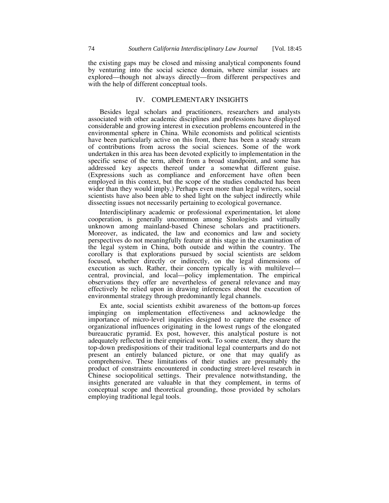the existing gaps may be closed and missing analytical components found by venturing into the social science domain, where similar issues are explored—though not always directly—from different perspectives and with the help of different conceptual tools.

## IV. COMPLEMENTARY INSIGHTS

Besides legal scholars and practitioners, researchers and analysts associated with other academic disciplines and professions have displayed considerable and growing interest in execution problems encountered in the environmental sphere in China. While economists and political scientists have been particularly active on this front, there has been a steady stream of contributions from across the social sciences. Some of the work undertaken in this area has been devoted explicitly to implementation in the specific sense of the term, albeit from a broad standpoint, and some has addressed key aspects thereof under a somewhat different guise. (Expressions such as compliance and enforcement have often been employed in this context, but the scope of the studies conducted has been wider than they would imply.) Perhaps even more than legal writers, social scientists have also been able to shed light on the subject indirectly while dissecting issues not necessarily pertaining to ecological governance.

Interdisciplinary academic or professional experimentation, let alone cooperation, is generally uncommon among Sinologists and virtually unknown among mainland-based Chinese scholars and practitioners. Moreover, as indicated, the law and economics and law and society perspectives do not meaningfully feature at this stage in the examination of the legal system in China, both outside and within the country. The corollary is that explorations pursued by social scientists are seldom focused, whether directly or indirectly, on the legal dimensions of execution as such. Rather, their concern typically is with multilevel central, provincial, and local—policy implementation. The empirical observations they offer are nevertheless of general relevance and may effectively be relied upon in drawing inferences about the execution of environmental strategy through predominantly legal channels.

Ex ante, social scientists exhibit awareness of the bottom-up forces impinging on implementation effectiveness and acknowledge the importance of micro-level inquiries designed to capture the essence of organizational influences originating in the lowest rungs of the elongated bureaucratic pyramid. Ex post, however, this analytical posture is not adequately reflected in their empirical work. To some extent, they share the top-down predispositions of their traditional legal counterparts and do not present an entirely balanced picture, or one that may qualify as comprehensive. These limitations of their studies are presumably the product of constraints encountered in conducting street-level research in Chinese sociopolitical settings. Their prevalence notwithstanding, the insights generated are valuable in that they complement, in terms of conceptual scope and theoretical grounding, those provided by scholars employing traditional legal tools.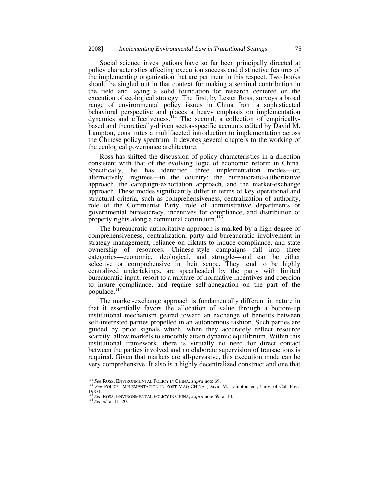Social science investigations have so far been principally directed at policy characteristics affecting execution success and distinctive features of the implementing organization that are pertinent in this respect. Two books should be singled out in that context for making a seminal contribution in the field and laying a solid foundation for research centered on the execution of ecological strategy. The first, by Lester Ross, surveys a broad range of environmental policy issues in China from a sophisticated behavioral perspective and places a heavy emphasis on implementation dynamics and effectiveness.<sup>111</sup> The second, a collection of empiricallybased and theoretically-driven sector-specific accounts edited by David M. Lampton, constitutes a multifaceted introduction to implementation across the Chinese policy spectrum. It devotes several chapters to the working of the ecological governance architecture. $^{112}$ 

Ross has shifted the discussion of policy characteristics in a direction consistent with that of the evolving logic of economic reform in China. Specifically, he has identified three implementation modes—or, alternatively, regimes—in the country: the bureaucratic-authoritative approach, the campaign-exhortation approach, and the market-exchange approach. These modes significantly differ in terms of key operational and structural criteria, such as comprehensiveness, centralization of authority, role of the Communist Party, role of administrative departments or governmental bureaucracy, incentives for compliance, and distribution of property rights along a communal continuum. $<sup>1</sup>$ </sup>

The bureaucratic-authoritative approach is marked by a high degree of comprehensiveness, centralization, party and bureaucratic involvement in strategy management, reliance on diktats to induce compliance, and state ownership of resources. Chinese-style campaigns fall into three categories—economic, ideological, and struggle—and can be either selective or comprehensive in their scope. They tend to be highly centralized undertakings, are spearheaded by the party with limited bureaucratic input, resort to a mixture of normative incentives and coercion to insure compliance, and require self-abnegation on the part of the populace.<sup>114</sup>

The market-exchange approach is fundamentally different in nature in that it essentially favors the allocation of value through a bottom-up institutional mechanism geared toward an exchange of benefits between self-interested parties propelled in an autonomous fashion. Such parties are guided by price signals which, when they accurately reflect resource scarcity, allow markets to smoothly attain dynamic equilibrium. Within this institutional framework, there is virtually no need for direct contact between the parties involved and no elaborate supervision of transactions is required. Given that markets are all-pervasive, this execution mode can be very comprehensive. It also is a highly decentralized construct and one that

<sup>&</sup>lt;sup>111</sup> See ROSS, ENVIRONMENTAL POLICY IN CHINA, *supra* note 69.<br><sup>112</sup> See POLICY IMPLEMENTATION IN POST-MAO CHINA (David M. Lampton ed., Univ. of Cal. Press 1987). <sup>113</sup> *See* ROSS, ENVIRONMENTAL POLICY IN CHINA, *supra* note 69, at 10. 114 *See id.* at 11–20.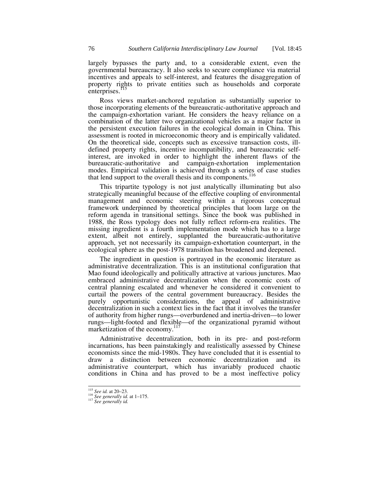largely bypasses the party and, to a considerable extent, even the governmental bureaucracy. It also seeks to secure compliance via material incentives and appeals to self-interest, and features the disaggregation of property rights to private entities such as households and corporate enterprises.<sup>115</sup>

Ross views market-anchored regulation as substantially superior to those incorporating elements of the bureaucratic-authoritative approach and the campaign-exhortation variant. He considers the heavy reliance on a combination of the latter two organizational vehicles as a major factor in the persistent execution failures in the ecological domain in China. This assessment is rooted in microeconomic theory and is empirically validated. On the theoretical side, concepts such as excessive transaction costs, illdefined property rights, incentive incompatibility, and bureaucratic selfinterest, are invoked in order to highlight the inherent flaws of the bureaucratic-authoritative and campaign-exhortation implementation modes. Empirical validation is achieved through a series of case studies that lend support to the overall thesis and its components.<sup>116</sup>

This tripartite typology is not just analytically illuminating but also strategically meaningful because of the effective coupling of environmental management and economic steering within a rigorous conceptual framework underpinned by theoretical principles that loom large on the reform agenda in transitional settings. Since the book was published in 1988, the Ross typology does not fully reflect reform-era realities. The missing ingredient is a fourth implementation mode which has to a large extent, albeit not entirely, supplanted the bureaucratic-authoritative approach, yet not necessarily its campaign-exhortation counterpart, in the ecological sphere as the post-1978 transition has broadened and deepened.

The ingredient in question is portrayed in the economic literature as administrative decentralization. This is an institutional configuration that Mao found ideologically and politically attractive at various junctures. Mao embraced administrative decentralization when the economic costs of central planning escalated and whenever he considered it convenient to curtail the powers of the central government bureaucracy. Besides the purely opportunistic considerations, the appeal of administrative decentralization in such a context lies in the fact that it involves the transfer of authority from higher rungs—overburdened and inertia-driven—to lower rungs—light-footed and flexible—of the organizational pyramid without marketization of the economy.<sup>1</sup>

Administrative decentralization, both in its pre- and post-reform incarnations, has been painstakingly and realistically assessed by Chinese economists since the mid-1980s. They have concluded that it is essential to draw a distinction between economic decentralization and its administrative counterpart, which has invariably produced chaotic conditions in China and has proved to be a most ineffective policy

<sup>115</sup> *See id.* at 20–23. 116 *See generally id.* at 1–175. 117 *See generally id.*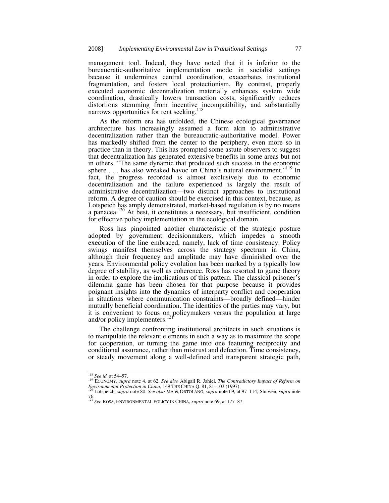management tool. Indeed, they have noted that it is inferior to the bureaucratic-authoritative implementation mode in socialist settings because it undermines central coordination, exacerbates institutional fragmentation, and fosters local protectionism. By contrast, properly executed economic decentralization materially enhances system wide coordination, drastically lowers transaction costs, significantly reduces distortions stemming from incentive incompatibility, and substantially narrows opportunities for rent seeking.<sup>118</sup>

As the reform era has unfolded, the Chinese ecological governance architecture has increasingly assumed a form akin to administrative decentralization rather than the bureaucratic-authoritative model. Power has markedly shifted from the center to the periphery, even more so in practice than in theory. This has prompted some astute observers to suggest that decentralization has generated extensive benefits in some areas but not in others. "The same dynamic that produced such success in the economic sphere  $\dots$  has also wreaked havoc on China's natural environment."<sup>119</sup> In fact, the progress recorded is almost exclusively due to economic decentralization and the failure experienced is largely the result of administrative decentralization—two distinct approaches to institutional reform. A degree of caution should be exercised in this context, because, as Lotspeich has amply demonstrated, market-based regulation is by no means a panacea.<sup>120</sup> At best, it constitutes a necessary, but insufficient, condition for effective policy implementation in the ecological domain.

Ross has pinpointed another characteristic of the strategic posture adopted by government decisionmakers, which impedes a smooth execution of the line embraced, namely, lack of time consistency. Policy swings manifest themselves across the strategy spectrum in China, although their frequency and amplitude may have diminished over the years. Environmental policy evolution has been marked by a typically low degree of stability, as well as coherence. Ross has resorted to game theory in order to explore the implications of this pattern. The classical prisoner's dilemma game has been chosen for that purpose because it provides poignant insights into the dynamics of interparty conflict and cooperation in situations where communication constraints—broadly defined—hinder mutually beneficial coordination. The identities of the parties may vary, but it is convenient to focus on policymakers versus the population at large and/or policy implementers.<sup>1</sup>

The challenge confronting institutional architects in such situations is to manipulate the relevant elements in such a way as to maximize the scope for cooperation, or turning the game into one featuring reciprocity and conditional assurance, rather than mistrust and defection. Time consistency, or steady movement along a well-defined and transparent strategic path,

<sup>118</sup> *See id.* at 54–57. 119 ECONOMY, *supra* note 4, at 62. *See also* Abigail R. Jahiel, *The Contradictory Impact of Reform on Environmental Protection in China*, 149 THE CHINA Q. 81, 81–103 (1997). 120 Lotspeich, *supra* note 80. *See also* MA & ORTOLANO, *supra* note 69, at 97–114; Shuwen, *supra* note

<sup>76.</sup> <sup>121</sup> *See* ROSS, ENVIRONMENTAL POLICY IN CHINA, *supra* note 69, at 177–87.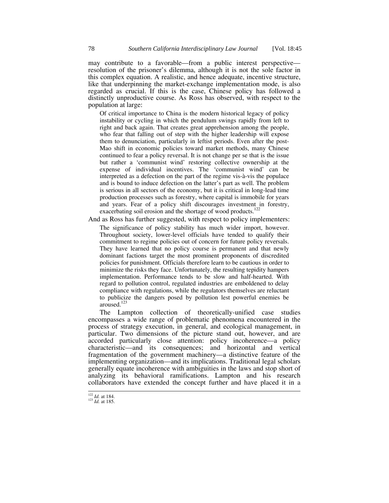may contribute to a favorable—from a public interest perspective resolution of the prisoner's dilemma, although it is not the sole factor in this complex equation. A realistic, and hence adequate, incentive structure, like that underpinning the market-exchange implementation mode, is also regarded as crucial. If this is the case, Chinese policy has followed a distinctly unproductive course. As Ross has observed, with respect to the population at large:

Of critical importance to China is the modern historical legacy of policy instability or cycling in which the pendulum swings rapidly from left to right and back again. That creates great apprehension among the people, who fear that falling out of step with the higher leadership will expose them to denunciation, particularly in leftist periods. Even after the post-Mao shift in economic policies toward market methods, many Chinese continued to fear a policy reversal. It is not change per se that is the issue but rather a 'communist wind' restoring collective ownership at the expense of individual incentives. The 'communist wind' can be interpreted as a defection on the part of the regime vis-à-vis the populace and is bound to induce defection on the latter's part as well. The problem is serious in all sectors of the economy, but it is critical in long-lead time production processes such as forestry, where capital is immobile for years and years. Fear of a policy shift discourages investment in forestry, exacerbating soil erosion and the shortage of wood products.<sup>122</sup>

And as Ross has further suggested, with respect to policy implementers: The significance of policy stability has much wider import, however. Throughout society, lower-level officials have tended to qualify their commitment to regime policies out of concern for future policy reversals. They have learned that no policy course is permanent and that newly dominant factions target the most prominent proponents of discredited policies for punishment. Officials therefore learn to be cautious in order to minimize the risks they face. Unfortunately, the resulting tepidity hampers implementation. Performance tends to be slow and half-hearted. With regard to pollution control, regulated industries are emboldened to delay compliance with regulations, while the regulators themselves are reluctant to publicize the dangers posed by pollution lest powerful enemies be aroused.<sup>123</sup>

The Lampton collection of theoretically-unified case studies encompasses a wide range of problematic phenomena encountered in the process of strategy execution, in general, and ecological management, in particular. Two dimensions of the picture stand out, however, and are accorded particularly close attention: policy incoherence—a policy characteristic—and its consequences; and horizontal and vertical fragmentation of the government machinery—a distinctive feature of the implementing organization—and its implications. Traditional legal scholars generally equate incoherence with ambiguities in the laws and stop short of analyzing its behavioral ramifications. Lampton and his research collaborators have extended the concept further and have placed it in a

<sup>122</sup> *Id.* at 184. 123 *Id.* at 185.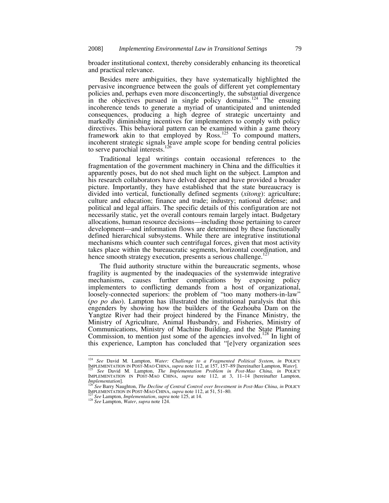broader institutional context, thereby considerably enhancing its theoretical and practical relevance.

Besides mere ambiguities, they have systematically highlighted the pervasive incongruence between the goals of different yet complementary policies and, perhaps even more disconcertingly, the substantial divergence in the objectives pursued in single policy domains.<sup>124</sup> The ensuing incoherence tends to generate a myriad of unanticipated and unintended consequences, producing a high degree of strategic uncertainty and markedly diminishing incentives for implementers to comply with policy directives. This behavioral pattern can be examined within a game theory framework akin to that employed by Ross.<sup>125</sup> To compound matters, incoherent strategic signals leave ample scope for bending central policies to serve parochial interests.<sup>126</sup>

Traditional legal writings contain occasional references to the fragmentation of the government machinery in China and the difficulties it apparently poses, but do not shed much light on the subject. Lampton and his research collaborators have delved deeper and have provided a broader picture. Importantly, they have established that the state bureaucracy is divided into vertical, functionally defined segments (*xitong*): agriculture; culture and education; finance and trade; industry; national defense; and political and legal affairs. The specific details of this configuration are not necessarily static, yet the overall contours remain largely intact. Budgetary allocations, human resource decisions—including those pertaining to career development—and information flows are determined by these functionally defined hierarchical subsystems. While there are integrative institutional mechanisms which counter such centrifugal forces, given that most activity takes place within the bureaucratic segments, horizontal coordination, and hence smooth strategy execution, presents a serious challenge.<sup>127</sup>

The fluid authority structure within the bureaucratic segments, whose fragility is augmented by the inadequacies of the systemwide integrative mechanisms, causes further complications by exposing policy implementers to conflicting demands from a host of organizational, loosely-connected superiors: the problem of "too many mothers-in-law" (*po po duo*). Lampton has illustrated the institutional paralysis that this engenders by showing how the builders of the Gezhouba Dam on the Yangtze River had their project hindered by the Finance Ministry, the Ministry of Agriculture, Animal Husbandry, and Fisheries, Ministry of Communications, Ministry of Machine Building, and the State Planning Commission, to mention just some of the agencies involved.<sup>128</sup> In light of this experience, Lampton has concluded that "[e]very organization sees

 <sup>124</sup> *See* David M. Lampton, *Water: Challenge to a Fragmented Political System*, *in* POLICY IMPLEMENTATION IN POST-MAO CHINA, *supra* note 112, at 157, 157–89 [hereinafter Lampton, *Water*].<br><sup>125</sup> See David M. Lampton, *The Implementation Problem in Post-Mao China, in* POLICY<br>IMPLEMENTATION IN POST-MAO CHINA, *su* 

*Implementation*]. 126 *See* Barry Naughton, *The Decline of Central Control over Investment in Post-Mao China*, *in* POLICY IMPLEMENTATION IN POST-MAO CHINA, *supra* note 112, at 51, 51–80. 127 *See* Lampton, *Implementation*, *supra* note 125, at 14. 128 *See* Lampton, *Water*, *supra* note 124.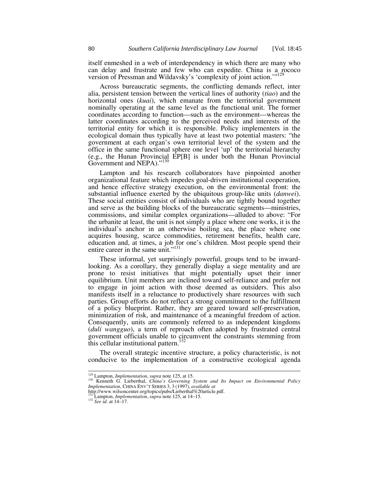itself enmeshed in a web of interdependency in which there are many who can delay and frustrate and few who can expedite. China is a rococo version of Pressman and Wildavsky's 'complexity of joint action."<sup>129</sup>

Across bureaucratic segments, the conflicting demands reflect, inter alia, persistent tension between the vertical lines of authority (*tiao*) and the horizontal ones (*kuai*), which emanate from the territorial government nominally operating at the same level as the functional unit. The former coordinates according to function—such as the environment—whereas the latter coordinates according to the perceived needs and interests of the territorial entity for which it is responsible. Policy implementers in the ecological domain thus typically have at least two potential masters: "the government at each organ's own territorial level of the system and the office in the same functional sphere one level 'up' the territorial hierarchy (e.g., the Hunan Provincial EP[B] is under both the Hunan Provincial Government and NEPA)."<sup>130</sup>

Lampton and his research collaborators have pinpointed another organizational feature which impedes goal-driven institutional cooperation, and hence effective strategy execution, on the environmental front: the substantial influence exerted by the ubiquitous group-like units (*danwei*). These social entities consist of individuals who are tightly bound together and serve as the building blocks of the bureaucratic segments—ministries, commissions, and similar complex organizations—alluded to above: "For the urbanite at least, the unit is not simply a place where one works, it is the individual's anchor in an otherwise boiling sea, the place where one acquires housing, scarce commodities, retirement benefits, health care, education and, at times, a job for one's children. Most people spend their entire career in the same unit."<sup>131</sup>

These informal, yet surprisingly powerful, groups tend to be inwardlooking. As a corollary, they generally display a siege mentality and are prone to resist initiatives that might potentially upset their inner equilibrium. Unit members are inclined toward self-reliance and prefer not to engage in joint action with those deemed as outsiders. This also manifests itself in a reluctance to productively share resources with such parties. Group efforts do not reflect a strong commitment to the fulfillment of a policy blueprint. Rather, they are geared toward self-preservation, minimization of risk, and maintenance of a meaningful freedom of action. Consequently, units are commonly referred to as independent kingdoms (*duli wangguo*), a term of reproach often adopted by frustrated central government officials unable to circumvent the constraints stemming from this cellular institutional pattern.<sup>1</sup>

The overall strategic incentive structure, a policy characteristic, is not conducive to the implementation of a constructive ecological agenda

<sup>&</sup>lt;sup>129</sup> Lampton, *Implementation*, *supra* note 125, at 15.<br>
<sup>130</sup> Kenneth G. Lieberthal, *China's Governing System and Its Impact on Environmental Policy Implementation*, CHINA ENV'T SERIES 3, 3 (1997), *available at* thtp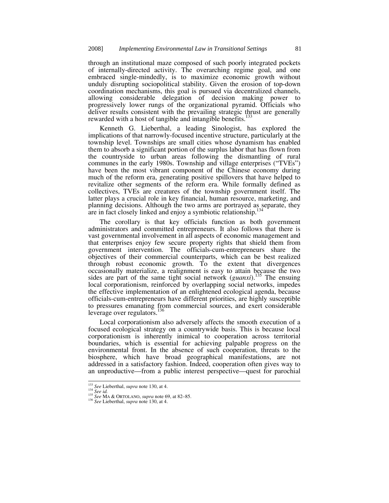through an institutional maze composed of such poorly integrated pockets of internally-directed activity. The overarching regime goal, and one embraced single-mindedly, is to maximize economic growth without unduly disrupting sociopolitical stability. Given the erosion of top-down coordination mechanisms, this goal is pursued via decentralized channels, allowing considerable delegation of decision making power to progressively lower rungs of the organizational pyramid. Officials who deliver results consistent with the prevailing strategic thrust are generally rewarded with a host of tangible and intangible benefits.<sup>13</sup>

Kenneth G. Lieberthal, a leading Sinologist, has explored the implications of that narrowly-focused incentive structure, particularly at the township level. Townships are small cities whose dynamism has enabled them to absorb a significant portion of the surplus labor that has flown from the countryside to urban areas following the dismantling of rural communes in the early 1980s. Township and village enterprises ("TVEs") have been the most vibrant component of the Chinese economy during much of the reform era, generating positive spillovers that have helped to revitalize other segments of the reform era. While formally defined as collectives, TVEs are creatures of the township government itself. The latter plays a crucial role in key financial, human resource, marketing, and planning decisions. Although the two arms are portrayed as separate, they are in fact closely linked and enjoy a symbiotic relationship.<sup>1</sup>

The corollary is that key officials function as both government administrators and committed entrepreneurs. It also follows that there is vast governmental involvement in all aspects of economic management and that enterprises enjoy few secure property rights that shield them from government intervention. The officials-cum-entrepreneurs share the objectives of their commercial counterparts, which can be best realized through robust economic growth. To the extent that divergences occasionally materialize, a realignment is easy to attain because the two sides are part of the same tight social network (*guanxi*).<sup>135</sup> The ensuing local corporationism, reinforced by overlapping social networks, impedes the effective implementation of an enlightened ecological agenda, because officials-cum-entrepreneurs have different priorities, are highly susceptible to pressures emanating from commercial sources, and exert considerable<br>layerage over requisitors  $^{136}$ leverage over regulators.<sup>1</sup>

Local corporationism also adversely affects the smooth execution of a focused ecological strategy on a countrywide basis. This is because local corporationism is inherently inimical to cooperation across territorial boundaries, which is essential for achieving palpable progress on the environmental front. In the absence of such cooperation, threats to the biosphere, which have broad geographical manifestations, are not addressed in a satisfactory fashion. Indeed, cooperation often gives way to an unproductive—from a public interest perspective—quest for parochial

<sup>133</sup> *See* Lieberthal, *supra* note 130, at 4. 134 *See id.* <sup>135</sup> *See* MA & ORTOLANO, *supra* note 69, at 82–85. 136 *See* Lieberthal, *supra* note 130, at 4.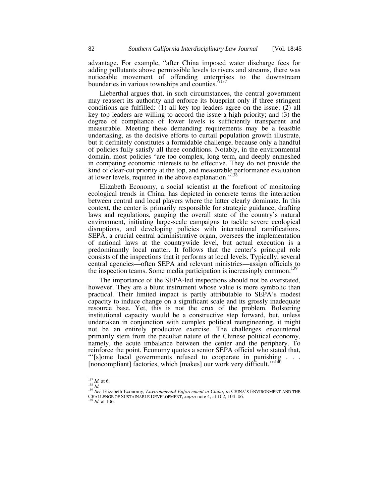advantage. For example, "after China imposed water discharge fees for adding pollutants above permissible levels to rivers and streams, there was noticeable movement of offending enterprises to the downstream boundaries in various townships and counties.<sup>57</sup>

Lieberthal argues that, in such circumstances, the central government may reassert its authority and enforce its blueprint only if three stringent conditions are fulfilled: (1) all key top leaders agree on the issue; (2) all key top leaders are willing to accord the issue a high priority; and (3) the degree of compliance of lower levels is sufficiently transparent and measurable. Meeting these demanding requirements may be a feasible undertaking, as the decisive efforts to curtail population growth illustrate, but it definitely constitutes a formidable challenge, because only a handful of policies fully satisfy all three conditions. Notably, in the environmental domain, most policies "are too complex, long term, and deeply enmeshed in competing economic interests to be effective. They do not provide the kind of clear-cut priority at the top, and measurable performance evaluation at lower levels, required in the above explanation."<sup>138</sup>

Elizabeth Economy, a social scientist at the forefront of monitoring ecological trends in China, has depicted in concrete terms the interaction between central and local players where the latter clearly dominate. In this context, the center is primarily responsible for strategic guidance, drafting laws and regulations, gauging the overall state of the country's natural environment, initiating large-scale campaigns to tackle severe ecological disruptions, and developing policies with international ramifications. SEPA, a crucial central administrative organ, oversees the implementation of national laws at the countrywide level, but actual execution is a predominantly local matter. It follows that the center's principal role consists of the inspections that it performs at local levels. Typically, several central agencies—often SEPA and relevant ministries—assign officials to the inspection teams. Some media participation is increasingly common.<sup>139</sup>

The importance of the SEPA-led inspections should not be overstated, however. They are a blunt instrument whose value is more symbolic than practical. Their limited impact is partly attributable to SEPA's modest capacity to induce change on a significant scale and its grossly inadequate resource base. Yet, this is not the crux of the problem. Bolstering institutional capacity would be a constructive step forward, but, unless undertaken in conjunction with complex political reengineering, it might not be an entirely productive exercise. The challenges encountered primarily stem from the peculiar nature of the Chinese political economy, namely, the acute imbalance between the center and the periphery. To reinforce the point, Economy quotes a senior SEPA official who stated that, "'[s]ome local governments refused to cooperate in punishing . . . [noncompliant] factories, which [makes] our work very difficult."<sup>140</sup>

<sup>137</sup> *Id.* at 6. 138 *Id.* **137** *Id.* **at 6.** 138 *Id.* **139** *See* Elizabeth Economy, *Environmental Enforcement in China*, *in* CHINA'S ENVIRONMENT AND THE 139 *See* Elizabeth Economy, *ENVIRONMENT* ON The summan note 4, a CHALLENGE OF SUSTAINABLE DEVELOPMENT, *supra* note 4, at 102, 104–06. 140 *Id.* at 106.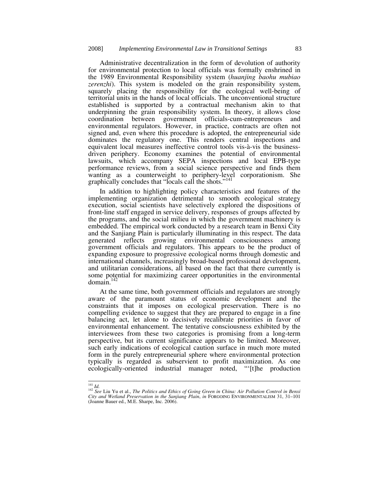Administrative decentralization in the form of devolution of authority for environmental protection to local officials was formally enshrined in the 1989 Environmental Responsibility system (*huanjing baohu mubiao zerenzhi*). This system is modeled on the grain responsibility system, squarely placing the responsibility for the ecological well-being of territorial units in the hands of local officials. The unconventional structure established is supported by a contractual mechanism akin to that underpinning the grain responsibility system. In theory, it allows close coordination between government officials-cum-entrepreneurs and environmental regulators. However, in practice, contracts are often not signed and, even where this procedure is adopted, the entrepreneurial side dominates the regulatory one. This renders central inspections and equivalent local measures ineffective control tools vis-à-vis the businessdriven periphery. Economy examines the potential of environmental lawsuits, which accompany SEPA inspections and local EPB-type performance reviews, from a social science perspective and finds them wanting as a counterweight to periphery-level corporationism. She graphically concludes that "locals call the shots."<sup>14</sup>

In addition to highlighting policy characteristics and features of the implementing organization detrimental to smooth ecological strategy execution, social scientists have selectively explored the dispositions of front-line staff engaged in service delivery, responses of groups affected by the programs, and the social milieu in which the government machinery is embedded. The empirical work conducted by a research team in Benxi City and the Sanjiang Plain is particularly illuminating in this respect. The data generated reflects growing environmental consciousness among government officials and regulators. This appears to be the product of expanding exposure to progressive ecological norms through domestic and international channels, increasingly broad-based professional development, and utilitarian considerations, all based on the fact that there currently is some potential for maximizing career opportunities in the environmental  $domain<sup>1</sup>$ 

At the same time, both government officials and regulators are strongly aware of the paramount status of economic development and the constraints that it imposes on ecological preservation. There is no compelling evidence to suggest that they are prepared to engage in a fine balancing act, let alone to decisively recalibrate priorities in favor of environmental enhancement. The tentative consciousness exhibited by the interviewees from these two categories is promising from a long-term perspective, but its current significance appears to be limited. Moreover, such early indications of ecological caution surface in much more muted form in the purely entrepreneurial sphere where environmental protection typically is regarded as subservient to profit maximization. As one ecologically-oriented industrial manager noted, "[t]he production

<sup>&</sup>lt;sup>141</sup> *Id.*<br><sup>142</sup> *See* Liu Yu et al., *The Politics and Ethics of Going Green in China: Air Pollution Control in Benxi City and Wetland Preservation in the Sanjiang Plain*, *in* FORGOING ENVIRONMENTALISM 31, 31–101 (Joanne Bauer ed., M.E. Sharpe, Inc. 2006).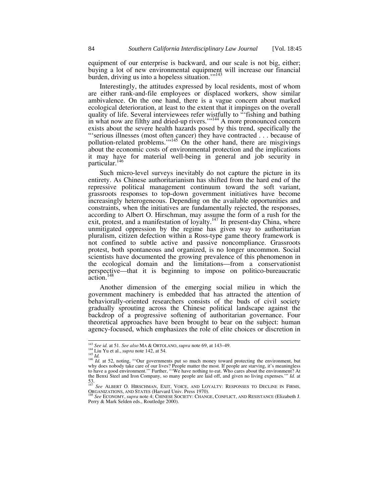equipment of our enterprise is backward, and our scale is not big, either; buying a lot of new environmental equipment will increase our financial burden, driving us into a hopeless situation."<sup>143</sup>

Interestingly, the attitudes expressed by local residents, most of whom are either rank-and-file employees or displaced workers, show similar ambivalence. On the one hand, there is a vague concern about marked ecological deterioration, at least to the extent that it impinges on the overall quality of life. Several interviewees refer wistfully to "'fishing and bathing in what now are filthy and dried-up rivers."<sup>144</sup> A more pronounced concern exists about the severe health hazards posed by this trend, specifically the "'serious illnesses (most often cancer) they have contracted . . . because of pollution-related problems."<sup>145</sup> On the other hand, there are misgivings about the economic costs of environmental protection and the implications it may have for material well-being in general and job security in particular.<sup>146</sup>

Such micro-level surveys inevitably do not capture the picture in its entirety. As Chinese authoritarianism has shifted from the hard end of the repressive political management continuum toward the soft variant, grassroots responses to top-down government initiatives have become increasingly heterogeneous. Depending on the available opportunities and constraints, when the initiatives are fundamentally rejected, the responses, according to Albert O. Hirschman, may assume the form of a rush for the exit, protest, and a manifestation of loyalty.<sup>147</sup> In present-day China, where unmitigated oppression by the regime has given way to authoritarian pluralism, citizen defection within a Ross-type game theory framework is not confined to subtle active and passive noncompliance. Grassroots protest, both spontaneous and organized, is no longer uncommon. Social scientists have documented the growing prevalence of this phenomenon in the ecological domain and the limitations—from a conservationist perspective—that it is beginning to impose on politico-bureaucratic action.148

Another dimension of the emerging social milieu in which the government machinery is embedded that has attracted the attention of behaviorally-oriented researchers consists of the buds of civil society gradually sprouting across the Chinese political landscape against the backdrop of a progressive softening of authoritarian governance. Four theoretical approaches have been brought to bear on the subject: human agency-focused, which emphasizes the role of elite choices or discretion in

<sup>&</sup>lt;sup>143</sup> See id. at 51. See also MA & ORTOLANO, supra note 69, at 143–49.<br><sup>144</sup> Liu Yu et al., *supra* note 142, at 54.<br><sup>145</sup> Id. at 52, noting, "Our governments put so much money toward protecting the environment, but<br><sup>146</sup> why does nobody take care of our lives? People matter the most. If people are starving, it's meaningless to have a good environment.'" Further, "We have nothing to eat. Who cares about the environment? At the Benxi Steel and Iron Company, so many people are laid off, and given no living expenses.'" *Id.* at  $\frac{53}{147}$ .

<sup>35.&</sup>lt;br>
See ALBERT O. HIRSCHMAN, EXIT, VOICE, AND LOYALTY: RESPONSES TO DECLINE IN FIRMS, ORGANIZATIONS, AND STATES (Harvard Univ. Press 1970).<br>
<sup>148</sup> See ECONOMY, *supra* note 4; CHINESE SOCIETY: CHANGE, CONFLICT, AND RESIST

Perry & Mark Selden eds., Routledge 2000).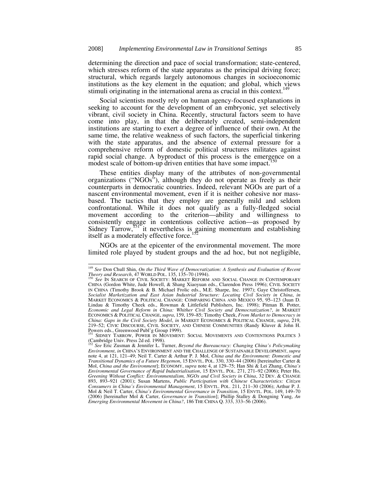determining the direction and pace of social transformation; state-centered, which stresses reform of the state apparatus as the principal driving force; structural, which regards largely autonomous changes in socioeconomic institutions as the key element in the equation; and global, which views stimuli originating in the international arena as crucial in this context.

Social scientists mostly rely on human agency-focused explanations in seeking to account for the development of an embryonic, yet selectively vibrant, civil society in China. Recently, structural factors seem to have come into play, in that the deliberately created, semi-independent institutions are starting to exert a degree of influence of their own. At the same time, the relative weakness of such factors, the superficial tinkering with the state apparatus, and the absence of external pressure for a comprehensive reform of domestic political structures militates against rapid social change. A byproduct of this process is the emergence on a modest scale of bottom-up driven entities that have some impact.<sup>150</sup>

These entities display many of the attributes of non-governmental organizations ("NGOs"), although they do not operate as freely as their counterparts in democratic countries. Indeed, relevant NGOs are part of a nascent environmental movement, even if it is neither cohesive nor massbased. The tactics that they employ are generally mild and seldom confrontational. While it does not qualify as a fully-fledged social movement according to the criterion—ability and willingness to consistently engage in contentious collective action—as proposed by Sidney Tarrow, $^{151}$  it nevertheless is gaining momentum and establishing itself as a moderately effective force.

NGOs are at the epicenter of the environmental movement. The more limited role played by student groups and the ad hoc, but not negligible,

<sup>&</sup>lt;sup>149</sup> *See* Don Chull Shin, *On the Third Wave of Democratization: A Synthesis and Evaluation of Recent Theory and Research, 47 World Pol. 135, 135–70 (1994).* 

**See IN SEARCH OF CIVIL SOCIETY: MARKET REFORM AND SOCIAL CHANGE IN CONTEMPORARY** CHINA (Gordon White, Jude Howell, & Shang Xiaoyuan eds., Clarendon Press 1996); CIVIL SOCIETY IN CHINA (Timothy Brook & B. Michael Frolic eds., M.E. Sharpe, Inc. 1997); Gaye Christoffersen, *Socialist Marketization and East Asian Industrial Structure: Locating Civil Society in China*, *in*  MARKET ECONOMICS & POLITICAL CHANGE: COMPARING CHINA AND MEXICO 95, 95–123 (Juan D. Lindau & Timothy Cheek eds., Rowman & Littlefield Publishers, Inc. 1998); Pitman B. Potter, *Economic and Legal Reform in China: Whither Civil Society and Democratization?*, *in* MARKET ECONOMICS & POLITICAL CHANGE, *supra*, 159, 159–85; Timothy Cheek, *From Market to Democracy in China: Gaps in the Civil Society Model*, *in* MARKET ECONOMICS & POLITICAL CHANGE, *supra*, 219, 219–52; CIVIC DISCOURSE, CIVIL SOCIETY, AND CHINESE COMMUNITIES (Randy Kluver & John H. Powers eds., Greenwood Publ'g Group 1999).

SIDNEY TARROW, POWER IN MOVEMENT: SOCIAL MOVEMENTS AND CONTENTIONS POLITICS 3 (Cambridge Univ. Press 2d ed. 1998).

<sup>152</sup> *See* Eric Zusman & Jennifer L. Turner, *Beyond the Bureaucracy: Changing China's Policymaking Environment*, *in* CHINA'S ENVIRONMENT AND THE CHALLENGE OF SUSTAINABLE DEVELOPMENT, *supra* note 4, at 121, 121–49; Neil T. Carter & Arthur P. J. Mol, *China and the Environment: Domestic and Transitional Dynamics of a Future Hegemon*, 15 ENVTL. POL. 330, 330–44 (2006) [hereinafter Carter & Mol, *China and the Environment*]; ECONOMY, *supra* note 4, at 129–75; Han Shi & Lei Zhang, *China's Environmental Governance of Rapid Industrialisation*, 15 ENVTL. POL. 271, 271–92 (2006); Peter Ho, *Greening Without Conflict: Environmentalism, NGOs and Civil Society in China*, 32 DEV. & CHANGE 893, 893–921 (2001); Susan Martens, *Public Participation with Chinese Characteristics: Citizen Consumers in China's Environmental Management*, 15 ENVTL. POL. 211, 211–30 (2006); Arthur P. J. Mol & Neil T. Carter, *China's Environmental Governance in Transition*, 15 ENVTL. POL. 149, 149–70 (2006) [hereinafter Mol & Carter, *Governance in Transition*]; Phillip Stalley & Dongning Yang, *An Emerging Environmental Movement in China?*, 186 THE CHINA Q. 333, 333–56 (2006).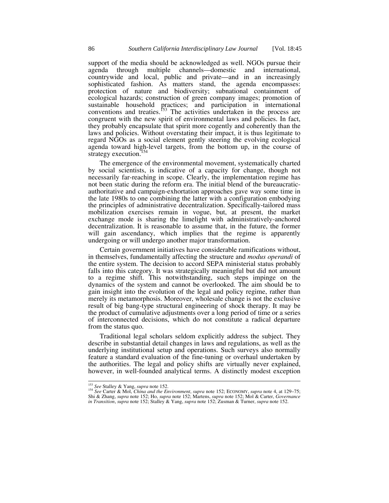support of the media should be acknowledged as well. NGOs pursue their agenda through multiple channels—domestic and international, countrywide and local, public and private—and in an increasingly sophisticated fashion. As matters stand, the agenda encompasses: protection of nature and biodiversity; subnational containment of ecological hazards; construction of green company images; promotion of sustainable household practices; and participation in international conventions and treaties.<sup>153</sup> The activities undertaken in the process are congruent with the new spirit of environmental laws and policies. In fact, they probably encapsulate that spirit more cogently and coherently than the laws and policies. Without overstating their impact, it is thus legitimate to regard NGOs as a social element gently steering the evolving ecological agenda toward high-level targets, from the bottom up, in the course of strategy execution.<sup>154</sup>

The emergence of the environmental movement, systematically charted by social scientists, is indicative of a capacity for change, though not necessarily far-reaching in scope. Clearly, the implementation regime has not been static during the reform era. The initial blend of the bureaucraticauthoritative and campaign-exhortation approaches gave way some time in the late 1980s to one combining the latter with a configuration embodying the principles of administrative decentralization. Specifically-tailored mass mobilization exercises remain in vogue, but, at present, the market exchange mode is sharing the limelight with administratively-anchored decentralization. It is reasonable to assume that, in the future, the former will gain ascendancy, which implies that the regime is apparently undergoing or will undergo another major transformation.

Certain government initiatives have considerable ramifications without, in themselves, fundamentally affecting the structure and *modus operandi* of the entire system. The decision to accord SEPA ministerial status probably falls into this category. It was strategically meaningful but did not amount to a regime shift. This notwithstanding, such steps impinge on the dynamics of the system and cannot be overlooked. The aim should be to gain insight into the evolution of the legal and policy regime, rather than merely its metamorphosis. Moreover, wholesale change is not the exclusive result of big bang-type structural engineering of shock therapy. It may be the product of cumulative adjustments over a long period of time or a series of interconnected decisions, which do not constitute a radical departure from the status quo.

Traditional legal scholars seldom explicitly address the subject. They describe in substantial detail changes in laws and regulations, as well as the underlying institutional setup and operations. Such surveys also normally feature a standard evaluation of the fine-tuning or overhaul undertaken by the authorities. The legal and policy shifts are virtually never explained, however, in well-founded analytical terms. A distinctly modest exception

<sup>153</sup> *See* Stalley & Yang, *supra* note 152. <sup>154</sup> *See* Carter & Mol, *China and the Environment*, *supra* note 152; ECONOMY, *supra* note 4, at 129–75; Shi & Zhang, *supra* note 152; Ho, *supra* note 152; Martens, *supra* note 152; Mol & Carter, *Governance in Transition*, *supra* note 152; Stalley & Yang, *supra* note 152; Zusman & Turner, *supra* note 152.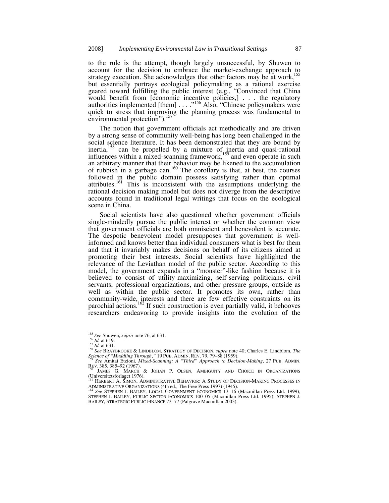to the rule is the attempt, though largely unsuccessful, by Shuwen to account for the decision to embrace the market-exchange approach to strategy execution. She acknowledges that other factors may be at work,<sup>155</sup> but essentially portrays ecological policymaking as a rational exercise geared toward fulfilling the public interest (e.g., "Convinced that China would benefit from [economic incentive policies,] . . . the regulatory authorities implemented [them] . . . . .<sup>156</sup> Also, "Chinese policymakers were quick to stress that improving the planning process was fundamental to environmental protection").<sup>15</sup>

The notion that government officials act methodically and are driven by a strong sense of community well-being has long been challenged in the social science literature. It has been demonstrated that they are bound by inertia,<sup>158</sup> can be propelled by a mixture of inertia and quasi-rational influences within a mixed-scanning framework,<sup>159</sup> and even operate in such an arbitrary manner that their behavior may be likened to the accumulation of rubbish in a garbage can.<sup>160</sup> The corollary is that, at best, the courses followed in the public domain possess satisfying rather than optimal attributes.<sup>161</sup> This is inconsistent with the assumptions underlying the rational decision making model but does not diverge from the descriptive accounts found in traditional legal writings that focus on the ecological scene in China.

Social scientists have also questioned whether government officials single-mindedly pursue the public interest or whether the common view that government officials are both omniscient and benevolent is accurate. The despotic benevolent model presupposes that government is wellinformed and knows better than individual consumers what is best for them and that it invariably makes decisions on behalf of its citizens aimed at promoting their best interests. Social scientists have highlighted the relevance of the Leviathan model of the public sector. According to this model, the government expands in a "monster"-like fashion because it is believed to consist of utility-maximizing, self-serving politicians, civil servants, professional organizations, and other pressure groups, outside as well as within the public sector. It promotes its own, rather than community-wide, interests and there are few effective constraints on its parochial actions.<sup>162</sup> If such construction is even partially valid, it behooves researchers endeavoring to provide insights into the evolution of the

<sup>&</sup>lt;sup>155</sup> *See Shuwen, supra note 76, at 631.*<br><sup>156</sup> *Id. at 619.*<br><sup>157</sup> *Id. at 631.* 158 *See BRAYBROOKE & LINDBLOM, STRATEGY OF DECISION, <i>supra note 40; Charles E. Lindblom, The Science of "Muddling Through*,*"*<sup>19</sup> PUB. ADMIN. REV. 79, 79–88 (1959). 159 *See* Amitai Etzioni, *Mixed-Scanning: A "Third" Approach to Decision-Making*, 27 PUB. ADMIN.

REV. 385, 385–92 (1967).<br><sup>160</sup> JAMES G. MARCH & JOHAN P. OLSEN, AMBIGUITY AND CHOICE IN ORGANIZATIONS

<sup>(</sup>Universitetsforlaget 1976).

HERBERT A. SIMON, ADMINISTRATIVE BEHAVIOR: A STUDY OF DECISION-MAKING PROCESSES IN ADMINISTRATIVE ORGANIZATIONS (4th ed., The Free Press 1997) (1945). 162 *See* STEPHEN J. BAILEY, LOCAL GOVERNMENT ECONOMICS 13–16 (Macmillan Press Ltd. 1999);

STEPHEN J. BAILEY, PUBLIC SECTOR ECONOMICS 100–05 (Macmillan Press Ltd. 1995); STEPHEN J. BAILEY, STRATEGIC PUBLIC FINANCE 73–77 (Palgrave Macmillan 2003).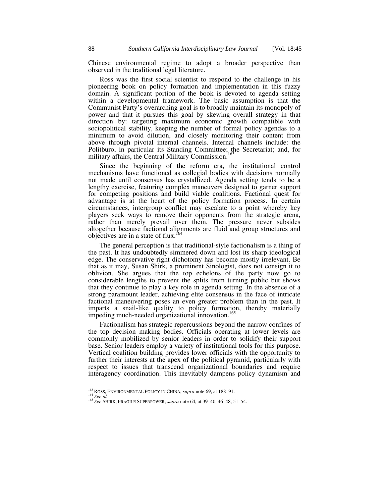Chinese environmental regime to adopt a broader perspective than observed in the traditional legal literature.

Ross was the first social scientist to respond to the challenge in his pioneering book on policy formation and implementation in this fuzzy domain. A significant portion of the book is devoted to agenda setting within a developmental framework. The basic assumption is that the Communist Party's overarching goal is to broadly maintain its monopoly of power and that it pursues this goal by skewing overall strategy in that direction by: targeting maximum economic growth compatible with sociopolitical stability, keeping the number of formal policy agendas to a minimum to avoid dilution, and closely monitoring their content from above through pivotal internal channels. Internal channels include: the Politburo, in particular its Standing Committee; the Secretariat; and, for military affairs, the Central Military Commission.<sup>163</sup>

Since the beginning of the reform era, the institutional control mechanisms have functioned as collegial bodies with decisions normally not made until consensus has crystallized. Agenda setting tends to be a lengthy exercise, featuring complex maneuvers designed to garner support for competing positions and build viable coalitions. Factional quest for advantage is at the heart of the policy formation process. In certain circumstances, intergroup conflict may escalate to a point whereby key players seek ways to remove their opponents from the strategic arena, rather than merely prevail over them. The pressure never subsides altogether because factional alignments are fluid and group structures and objectives are in a state of flux.<sup>16</sup>

The general perception is that traditional-style factionalism is a thing of the past. It has undoubtedly simmered down and lost its sharp ideological edge. The conservative-right dichotomy has become mostly irrelevant. Be that as it may, Susan Shirk, a prominent Sinologist, does not consign it to oblivion. She argues that the top echelons of the party now go to considerable lengths to prevent the splits from turning public but shows that they continue to play a key role in agenda setting. In the absence of a strong paramount leader, achieving elite consensus in the face of intricate factional maneuvering poses an even greater problem than in the past. It imparts a snail-like quality to policy formation, thereby materially impeding much-needed organizational innovation.<sup>165</sup>

Factionalism has strategic repercussions beyond the narrow confines of the top decision making bodies. Officials operating at lower levels are commonly mobilized by senior leaders in order to solidify their support base. Senior leaders employ a variety of institutional tools for this purpose. Vertical coalition building provides lower officials with the opportunity to further their interests at the apex of the political pyramid, particularly with respect to issues that transcend organizational boundaries and require interagency coordination. This inevitably dampens policy dynamism and

<sup>&</sup>lt;sup>163</sup> ROSS, ENVIRONMENTAL POLICY IN CHINA, *supra* note 69, at 188–91.<br><sup>164</sup> *See id.* 264 *See SHIRK, FRAGILE SUPERPOWER, <i>supra* note 64, at 39–40, 46–48, 51–54.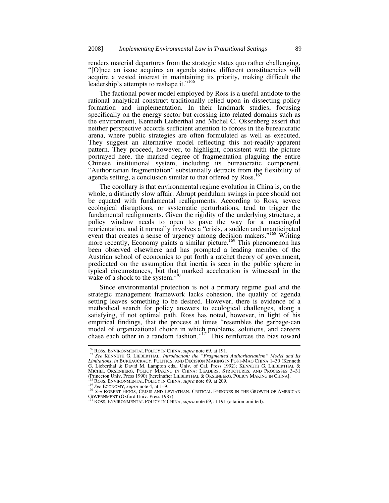renders material departures from the strategic status quo rather challenging. "[O]nce an issue acquires an agenda status, different constituencies will acquire a vested interest in maintaining its priority, making difficult the leadership's attempts to reshape it."<sup>166</sup>

The factional power model employed by Ross is a useful antidote to the rational analytical construct traditionally relied upon in dissecting policy formation and implementation. In their landmark studies, focusing specifically on the energy sector but crossing into related domains such as the environment, Kenneth Lieberthal and Michel C. Oksenberg assert that neither perspective accords sufficient attention to forces in the bureaucratic arena, where public strategies are often formulated as well as executed. They suggest an alternative model reflecting this not-readily-apparent pattern. They proceed, however, to highlight, consistent with the picture portrayed here, the marked degree of fragmentation plaguing the entire Chinese institutional system, including its bureaucratic component. "Authoritarian fragmentation" substantially detracts from the flexibility of agenda setting, a conclusion similar to that offered by Ross.<sup>167</sup>

The corollary is that environmental regime evolution in China is, on the whole, a distinctly slow affair. Abrupt pendulum swings in pace should not be equated with fundamental realignments. According to Ross, severe ecological disruptions, or systematic perturbations, tend to trigger the fundamental realignments. Given the rigidity of the underlying structure, a policy window needs to open to pave the way for a meaningful reorientation, and it normally involves a "crisis, a sudden and unanticipated event that creates a sense of urgency among decision makers."<sup>168</sup> Writing more recently, Economy paints a similar picture.<sup>169</sup> This phenomenon has been observed elsewhere and has prompted a leading member of the Austrian school of economics to put forth a ratchet theory of government, predicated on the assumption that inertia is seen in the public sphere in typical circumstances, but that marked acceleration is witnessed in the wake of a shock to the system. $170$ 

Since environmental protection is not a primary regime goal and the strategic management framework lacks cohesion, the quality of agenda setting leaves something to be desired. However, there is evidence of a methodical search for policy answers to ecological challenges, along a satisfying, if not optimal path. Ross has noted, however, in light of his empirical findings, that the process at times "resembles the garbage-can model of organizational choice in which problems, solutions, and careers chase each other in a random fashion."<sup>171</sup><sup>T</sup>his reinforces the bias toward

<sup>&</sup>lt;sup>166</sup> ROSS, ENVIRONMENTAL POLICY IN CHINA, *supra* note 69, at 191.<br><sup>167</sup> *See KENNETH G. LIEBERTHAL, Introduction: the "Fragmented Authoritarianism" Model and Its*<br>*Limitations, in* BUREAUCRACY, POLITICS, AND DECISION MAK G. Lieberthal & David M. Lampton eds., Univ. of Cal. Press 1992); KENNETH G. LIEBERTHAL & MICHEL OKSENBERG, POLICY MAKING IN CHINA: LEADERS, STRUCTURES, AND PROCESSES 3–31

<sup>169</sup> See ECONOMY, *supra* note 4, at 1–9.<br><sup>170</sup> See ROBERT HIGGS, CRISIS AND LEVIATHAN: CRITICAL EPISODES IN THE GROWTH OF AMERICAN GOVERNMENT (Oxford Univ. Press 1987).<br><sup>171</sup> ROSS, ENVIRONMENTAL POLICY IN CHINA, *supra* note 69, at 191 (citation omitted).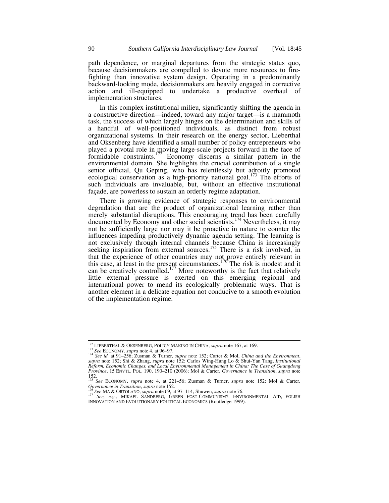path dependence, or marginal departures from the strategic status quo, because decisionmakers are compelled to devote more resources to firefighting than innovative system design. Operating in a predominantly backward-looking mode, decisionmakers are heavily engaged in corrective action and ill-equipped to undertake a productive overhaul of implementation structures.

In this complex institutional milieu, significantly shifting the agenda in a constructive direction—indeed, toward any major target—is a mammoth task, the success of which largely hinges on the determination and skills of a handful of well-positioned individuals, as distinct from robust organizational systems. In their research on the energy sector, Lieberthal and Oksenberg have identified a small number of policy entrepreneurs who played a pivotal role in moving large-scale projects forward in the face of formidable constraints.172 Economy discerns a similar pattern in the environmental domain. She highlights the crucial contribution of a single senior official, Qu Geping, who has relentlessly but adroitly promoted ecological conservation as a high-priority national goal.<sup>173</sup> The efforts of such individuals are invaluable, but, without an effective institutional façade, are powerless to sustain an orderly regime adaptation.

There is growing evidence of strategic responses to environmental degradation that are the product of organizational learning rather than merely substantial disruptions. This encouraging trend has been carefully documented by Economy and other social scientists.174 Nevertheless, it may not be sufficiently large nor may it be proactive in nature to counter the influences impeding productively dynamic agenda setting. The learning is not exclusively through internal channels because China is increasingly seeking inspiration from external sources.<sup>175</sup> There is a risk involved, in that the experience of other countries may not prove entirely relevant in this case, at least in the present circumstances.<sup>176</sup> The risk is modest and it can be creatively controlled.<sup>177</sup> More noteworthy is the fact that relatively little external pressure is exerted on this emerging regional and international power to mend its ecologically problematic ways. That is another element in a delicate equation not conducive to a smooth evolution of the implementation regime.

<sup>&</sup>lt;sup>172</sup> LIEBERTHAL & OKSENBERG, POLICY MAKING IN CHINA, *supra* note 167, at 169.<br><sup>173</sup> See ECONOMY, *supra* note 4, at 96–97.<br><sup>174</sup> See id. at 91–256; Zusman & Turner, *supra* note 152; Carter & Mol, *China and the Environm Reform, Economic Changes, and Local Environmental Management in China: The Case of Guangdong Province*, 15 ENVTL. POL. 190, 190–210 (2006); Mol & Carter, *Governance in Transition*, *supra* note 152. <sup>175</sup> *See* ECONOMY, *supra* note 4, at 221–56; Zusman & Turner, *supra* note 152; Mol & Carter,

Governance in Transition, supra note 152.<br><sup>176</sup> See MA & ORTOLANO, supra note 69, at 97–114; Shuwen, supra note 76.<br><sup>177</sup> See, e.g., MIKAEL SANDBERG, GREEN POST-COMMUNISM?: ENVIRONMENTAL AID, POLISH

INNOVATION AND EVOLUTIONARY POLITICAL ECONOMICS (Routledge 1999).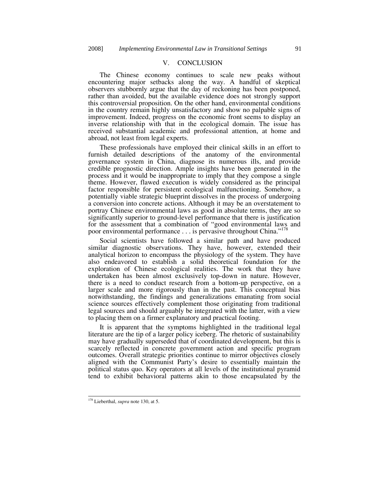### V. CONCLUSION

The Chinese economy continues to scale new peaks without encountering major setbacks along the way. A handful of skeptical observers stubbornly argue that the day of reckoning has been postponed, rather than avoided, but the available evidence does not strongly support this controversial proposition. On the other hand, environmental conditions in the country remain highly unsatisfactory and show no palpable signs of improvement. Indeed, progress on the economic front seems to display an inverse relationship with that in the ecological domain. The issue has received substantial academic and professional attention, at home and abroad, not least from legal experts.

These professionals have employed their clinical skills in an effort to furnish detailed descriptions of the anatomy of the environmental governance system in China, diagnose its numerous ills, and provide credible prognostic direction. Ample insights have been generated in the process and it would be inappropriate to imply that they compose a single theme. However, flawed execution is widely considered as the principal factor responsible for persistent ecological malfunctioning. Somehow, a potentially viable strategic blueprint dissolves in the process of undergoing a conversion into concrete actions. Although it may be an overstatement to portray Chinese environmental laws as good in absolute terms, they are so significantly superior to ground-level performance that there is justification for the assessment that a combination of "good environmental laws and poor environmental performance . . . is pervasive throughout China."178

Social scientists have followed a similar path and have produced similar diagnostic observations. They have, however, extended their analytical horizon to encompass the physiology of the system. They have also endeavored to establish a solid theoretical foundation for the exploration of Chinese ecological realities. The work that they have undertaken has been almost exclusively top-down in nature. However, there is a need to conduct research from a bottom-up perspective, on a larger scale and more rigorously than in the past. This conceptual bias notwithstanding, the findings and generalizations emanating from social science sources effectively complement those originating from traditional legal sources and should arguably be integrated with the latter, with a view to placing them on a firmer explanatory and practical footing.

It is apparent that the symptoms highlighted in the traditional legal literature are the tip of a larger policy iceberg. The rhetoric of sustainability may have gradually superseded that of coordinated development, but this is scarcely reflected in concrete government action and specific program outcomes. Overall strategic priorities continue to mirror objectives closely aligned with the Communist Party's desire to essentially maintain the political status quo. Key operators at all levels of the institutional pyramid tend to exhibit behavioral patterns akin to those encapsulated by the

 <sup>178</sup> Lieberthal, *supra* note 130, at 5.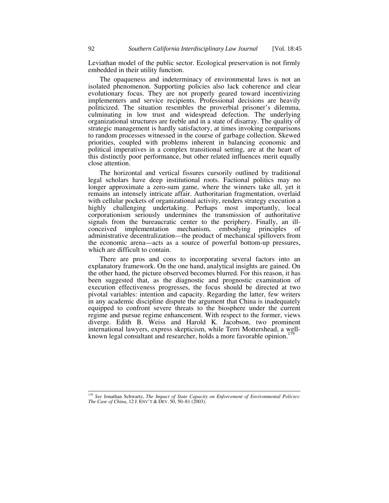Leviathan model of the public sector. Ecological preservation is not firmly embedded in their utility function.

The opaqueness and indeterminacy of environmental laws is not an isolated phenomenon. Supporting policies also lack coherence and clear evolutionary focus. They are not properly geared toward incentivizing implementers and service recipients. Professional decisions are heavily politicized. The situation resembles the proverbial prisoner's dilemma, culminating in low trust and widespread defection. The underlying organizational structures are feeble and in a state of disarray. The quality of strategic management is hardly satisfactory, at times invoking comparisons to random processes witnessed in the course of garbage collection. Skewed priorities, coupled with problems inherent in balancing economic and political imperatives in a complex transitional setting, are at the heart of this distinctly poor performance, but other related influences merit equally close attention.

The horizontal and vertical fissures cursorily outlined by traditional legal scholars have deep institutional roots. Factional politics may no longer approximate a zero-sum game, where the winners take all, yet it remains an intensely intricate affair. Authoritarian fragmentation, overlaid with cellular pockets of organizational activity, renders strategy execution a highly challenging undertaking. Perhaps most importantly, local corporationism seriously undermines the transmission of authoritative signals from the bureaucratic center to the periphery. Finally, an illconceived implementation mechanism, embodying principles of administrative decentralization—the product of mechanical spillovers from the economic arena—acts as a source of powerful bottom-up pressures, which are difficult to contain.

There are pros and cons to incorporating several factors into an explanatory framework. On the one hand, analytical insights are gained. On the other hand, the picture observed becomes blurred. For this reason, it has been suggested that, as the diagnostic and prognostic examination of execution effectiveness progresses, the focus should be directed at two pivotal variables: intention and capacity. Regarding the latter, few writers in any academic discipline dispute the argument that China is inadequately equipped to confront severe threats to the biosphere under the current regime and pursue regime enhancement. With respect to the former, views diverge. Edith B. Weiss and Harold K. Jacobson, two prominent international lawyers, express skepticism, while Terri Mottershead, a wellknown legal consultant and researcher, holds a more favorable opinion.<sup>1</sup>

 <sup>179</sup> *See* Jonathan Schwartz, *The Impact of State Capacity on Enforcement of Environmental Policies: The Case of China*, 12 J. ENV'T & DEV. 50, 50–81 (2003).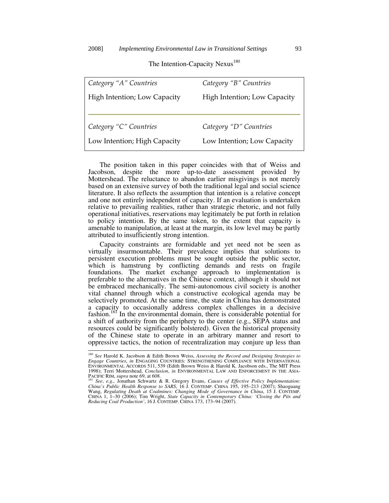## The Intention-Capacity Nexus<sup>180</sup>

| Category "B" Countries       |
|------------------------------|
| High Intention; Low Capacity |
|                              |
| Category "D" Countries       |
|                              |
| Low Intention; Low Capacity  |
|                              |

The position taken in this paper coincides with that of Weiss and Jacobson, despite the more up-to-date assessment provided by Mottershead. The reluctance to abandon earlier misgivings is not merely based on an extensive survey of both the traditional legal and social science literature. It also reflects the assumption that intention is a relative concept and one not entirely independent of capacity. If an evaluation is undertaken relative to prevailing realities, rather than strategic rhetoric, and not fully operational initiatives, reservations may legitimately be put forth in relation to policy intention. By the same token, to the extent that capacity is amenable to manipulation, at least at the margin, its low level may be partly attributed to insufficiently strong intention.

Capacity constraints are formidable and yet need not be seen as virtually insurmountable. Their prevalence implies that solutions to persistent execution problems must be sought outside the public sector, which is hamstrung by conflicting demands and rests on fragile foundations. The market exchange approach to implementation is preferable to the alternatives in the Chinese context, although it should not be embraced mechanically. The semi-autonomous civil society is another vital channel through which a constructive ecological agenda may be selectively promoted. At the same time, the state in China has demonstrated a capacity to occasionally address complex challenges in a decisive fashion.<sup>181</sup> In the environmental domain, there is considerable potential for a shift of authority from the periphery to the center (e.g., SEPA status and resources could be significantly bolstered). Given the historical propensity of the Chinese state to operate in an arbitrary manner and resort to oppressive tactics, the notion of recentralization may conjure up less than

 <sup>180</sup> *See* Harold K. Jacobson & Edith Brown Weiss, *Assessing the Record and Designing Strategies to Engage Countries*, *in* ENGAGING COUNTRIES: STRENGTHENING COMPLIANCE WITH INTERNATIONAL ENVIRONMENTAL ACCORDS 511, 539 (Edith Brown Weiss & Harold K. Jacobson eds., The MIT Press 1998); Terri Mottershead, *Conclusion*, *in* ENVIRONMENTAL LAW AND ENFORCEMENT IN THE ASIA-PACIFIC RIM, *supra* note 69, at 608.<br><sup>181</sup> *See*, *e.g.*, Jonathan Schwartz & R. Gregory Evans, *Causes of Effective Policy Implementation:* 

*China's Public Health Response to SARS*, 16 J. CONTEMP. CHINA 195, 195–213 (2007); Shaoguang Wang, *Regulating Death at Coalmines: Changing Mode of Governance in China*, 15 J. CONTEMP. CHINA 1, 1–30 (2006); Tim Wright, *State Capacity in Contemporary China: 'Closing the Pits and Reducing Coal Production'*, 16 J. CONTEMP. CHINA 173, 173–94 (2007).